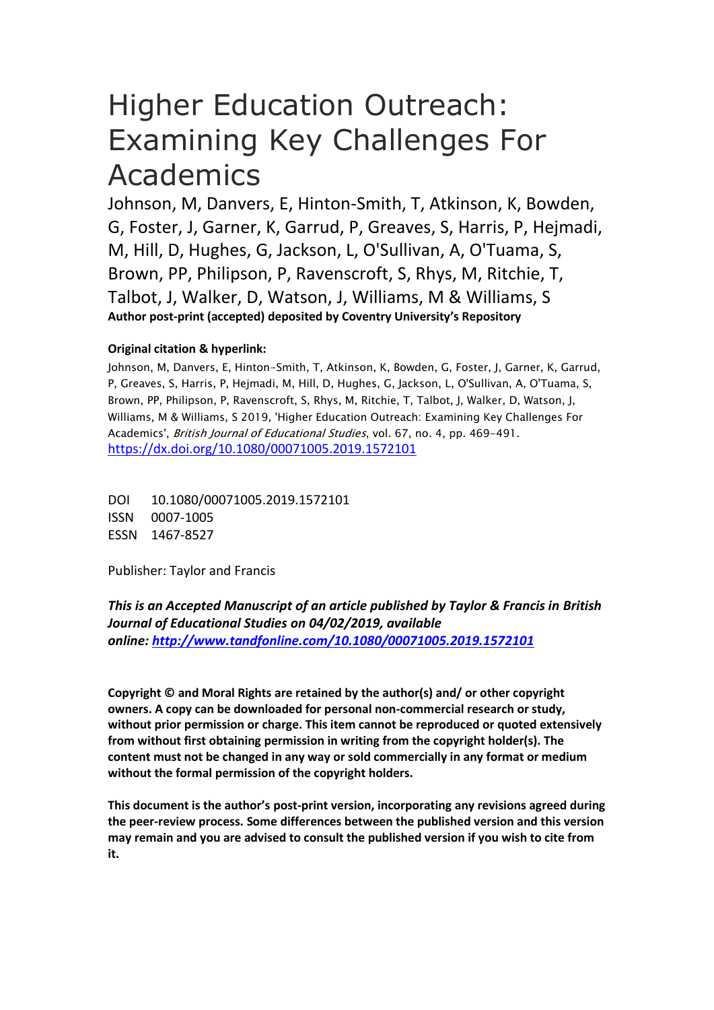# Higher Education Outreach: Examining Key Challenges For Academics

Johnson, M, Danvers, E, Hinton-Smith, T, Atkinson, K, Bowden, G, Foster, J, Garner, K, Garrud, P, Greaves, S, Harris, P, Hejmadi, M, Hill, D, Hughes, G, Jackson, L, O'Sullivan, A, O'Tuama, S, Brown, PP, Philipson, P, Ravenscroft, S, Rhys, M, Ritchie, T, Talbot, J, Walker, D, Watson, J, Williams, M & Williams, S **Author post-print (accepted) deposited by Coventry University's Repository**

# **Original citation & hyperlink:**

Johnson, M, Danvers, E, Hinton-Smith, T, Atkinson, K, Bowden, G, Foster, J, Garner, K, Garrud, P, Greaves, S, Harris, P, Hejmadi, M, Hill, D, Hughes, G, Jackson, L, O'Sullivan, A, O'Tuama, S, Brown, PP, Philipson, P, Ravenscroft, S, Rhys, M, Ritchie, T, Talbot, J, Walker, D, Watson, J, Williams, M & Williams, S 2019, 'Higher Education Outreach: Examining Key Challenges For Academics', British Journal of Educational Studies, vol. 67, no. 4, pp. 469-491. <https://dx.doi.org/10.1080/00071005.2019.1572101>

DOI 10.1080/00071005.2019.1572101 ISSN 0007-1005 ESSN 1467-8527

Publisher: Taylor and Francis

*This is an Accepted Manuscript of an article published by Taylor & Francis in British Journal of Educational Studies on 04/02/2019, available online: <http://www.tandfonline.com/10.1080/00071005.2019.1572101>*

**Copyright © and Moral Rights are retained by the author(s) and/ or other copyright owners. A copy can be downloaded for personal non-commercial research or study, without prior permission or charge. This item cannot be reproduced or quoted extensively from without first obtaining permission in writing from the copyright holder(s). The content must not be changed in any way or sold commercially in any format or medium without the formal permission of the copyright holders.** 

**This document is the author's post-print version, incorporating any revisions agreed during the peer-review process. Some differences between the published version and this version may remain and you are advised to consult the published version if you wish to cite from it.**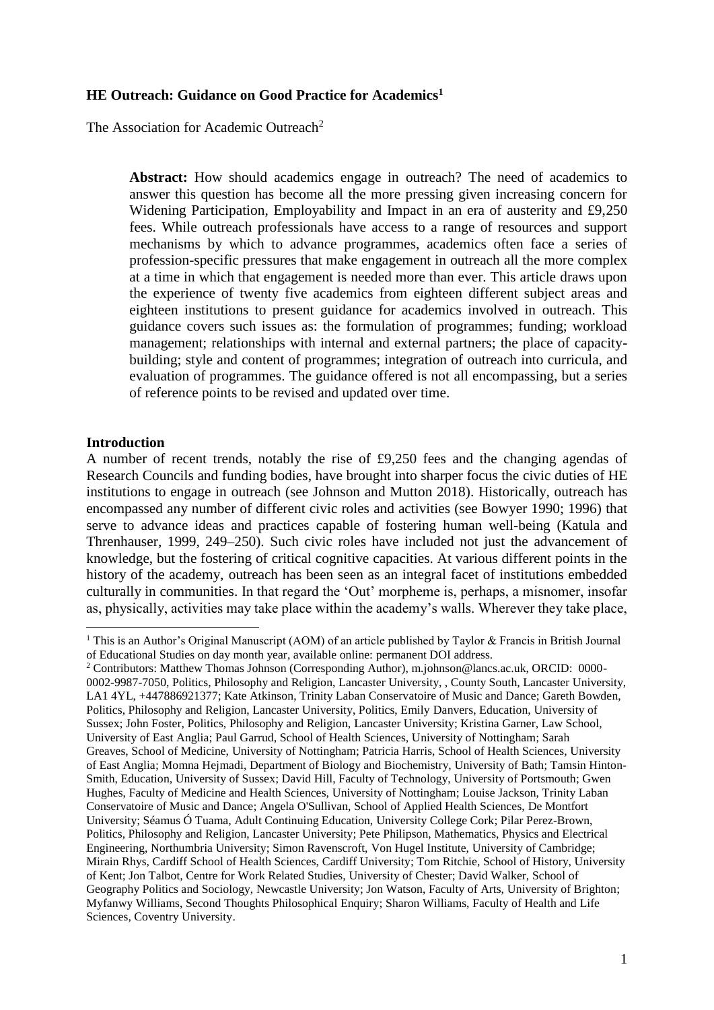# **HE Outreach: Guidance on Good Practice for Academics<sup>1</sup>**

The Association for Academic Outreach<sup>2</sup>

**Abstract:** How should academics engage in outreach? The need of academics to answer this question has become all the more pressing given increasing concern for Widening Participation, Employability and Impact in an era of austerity and £9,250 fees. While outreach professionals have access to a range of resources and support mechanisms by which to advance programmes, academics often face a series of profession-specific pressures that make engagement in outreach all the more complex at a time in which that engagement is needed more than ever. This article draws upon the experience of twenty five academics from eighteen different subject areas and eighteen institutions to present guidance for academics involved in outreach. This guidance covers such issues as: the formulation of programmes; funding; workload management; relationships with internal and external partners; the place of capacitybuilding; style and content of programmes; integration of outreach into curricula, and evaluation of programmes. The guidance offered is not all encompassing, but a series of reference points to be revised and updated over time.

# **Introduction**

1

A number of recent trends, notably the rise of £9,250 fees and the changing agendas of Research Councils and funding bodies, have brought into sharper focus the civic duties of HE institutions to engage in outreach (see Johnson and Mutton 2018). Historically, outreach has encompassed any number of different civic roles and activities (see Bowyer 1990; 1996) that serve to advance ideas and practices capable of fostering human well-being (Katula and Threnhauser, 1999, 249–250). Such civic roles have included not just the advancement of knowledge, but the fostering of critical cognitive capacities. At various different points in the history of the academy, outreach has been seen as an integral facet of institutions embedded culturally in communities. In that regard the 'Out' morpheme is, perhaps, a misnomer, insofar as, physically, activities may take place within the academy's walls. Wherever they take place,

<sup>&</sup>lt;sup>1</sup> This is an Author's Original Manuscript (AOM) of an article published by Taylor & Francis in British Journal of Educational Studies on day month year, available online: permanent DOI address.

<sup>2</sup> Contributors: Matthew Thomas Johnson (Corresponding Author), m.johnson@lancs.ac.uk, ORCID: 0000- 0002-9987-7050, Politics, Philosophy and Religion, Lancaster University, , County South, Lancaster University, LA1 4YL, +447886921377; Kate Atkinson, Trinity Laban Conservatoire of Music and Dance; Gareth Bowden, Politics, Philosophy and Religion, Lancaster University, Politics, Emily Danvers, Education, University of Sussex; John Foster, Politics, Philosophy and Religion, Lancaster University; Kristina Garner, Law School, University of East Anglia; Paul Garrud, School of Health Sciences, University of Nottingham; Sarah Greaves, School of Medicine, University of Nottingham; Patricia Harris, School of Health Sciences, University of East Anglia; Momna Hejmadi, Department of Biology and Biochemistry, University of Bath; Tamsin Hinton-Smith, Education, University of Sussex; David Hill, Faculty of Technology, University of Portsmouth; Gwen Hughes, Faculty of Medicine and Health Sciences, University of Nottingham; Louise Jackson, Trinity Laban Conservatoire of Music and Dance; Angela O'Sullivan, School of Applied Health Sciences, De Montfort University; Séamus Ó Tuama, Adult Continuing Education, University College Cork; Pilar Perez-Brown, Politics, Philosophy and Religion, Lancaster University; Pete Philipson, Mathematics, Physics and Electrical Engineering, Northumbria University; Simon Ravenscroft, Von Hugel Institute, University of Cambridge; Mirain Rhys, Cardiff School of Health Sciences, Cardiff University; Tom Ritchie, School of History, University of Kent; Jon Talbot, Centre for Work Related Studies, University of Chester; David Walker, School of Geography Politics and Sociology, Newcastle University; Jon Watson, Faculty of Arts, University of Brighton; Myfanwy Williams, Second Thoughts Philosophical Enquiry; Sharon Williams, Faculty of Health and Life Sciences, Coventry University.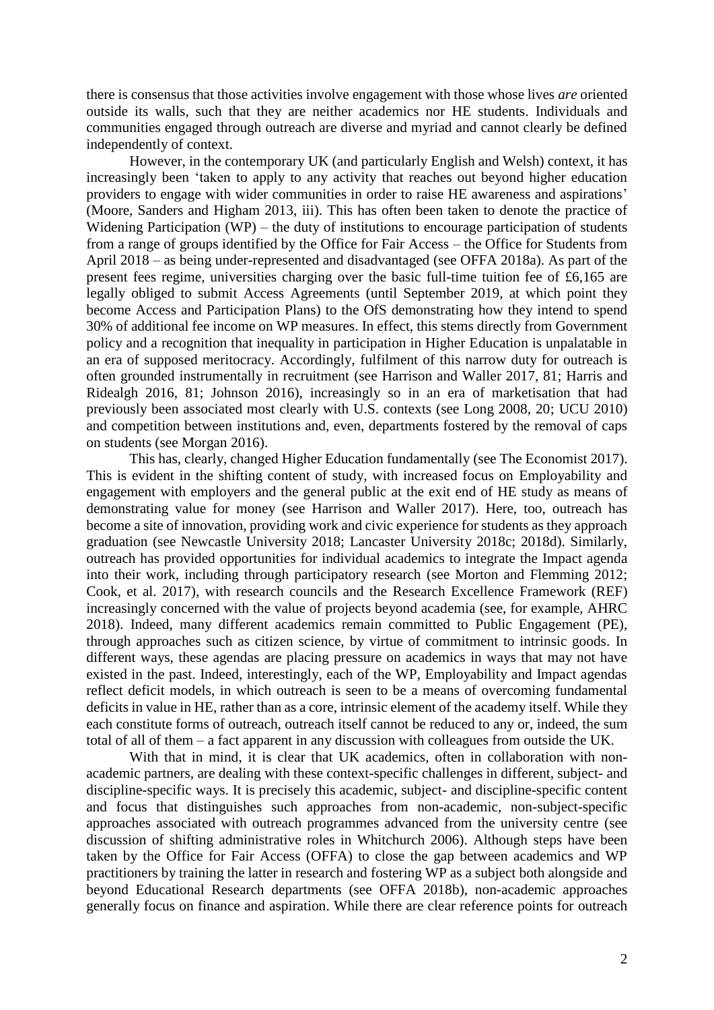there is consensus that those activities involve engagement with those whose lives *are* oriented outside its walls, such that they are neither academics nor HE students. Individuals and communities engaged through outreach are diverse and myriad and cannot clearly be defined independently of context.

However, in the contemporary UK (and particularly English and Welsh) context, it has increasingly been 'taken to apply to any activity that reaches out beyond higher education providers to engage with wider communities in order to raise HE awareness and aspirations' (Moore, Sanders and Higham 2013, iii). This has often been taken to denote the practice of Widening Participation (WP) – the duty of institutions to encourage participation of students from a range of groups identified by the Office for Fair Access – the Office for Students from April 2018 – as being under-represented and disadvantaged (see OFFA 2018a). As part of the present fees regime, universities charging over the basic full-time tuition fee of £6,165 are legally obliged to submit Access Agreements (until September 2019, at which point they become Access and Participation Plans) to the OfS demonstrating how they intend to spend 30% of additional fee income on WP measures. In effect, this stems directly from Government policy and a recognition that inequality in participation in Higher Education is unpalatable in an era of supposed meritocracy. Accordingly, fulfilment of this narrow duty for outreach is often grounded instrumentally in recruitment (see Harrison and Waller 2017, 81; Harris and Ridealgh 2016, 81; Johnson 2016), increasingly so in an era of marketisation that had previously been associated most clearly with U.S. contexts (see Long 2008, 20; UCU 2010) and competition between institutions and, even, departments fostered by the removal of caps on students (see Morgan 2016).

This has, clearly, changed Higher Education fundamentally (see The Economist 2017). This is evident in the shifting content of study, with increased focus on Employability and engagement with employers and the general public at the exit end of HE study as means of demonstrating value for money (see Harrison and Waller 2017). Here, too, outreach has become a site of innovation, providing work and civic experience for students as they approach graduation (see Newcastle University 2018; Lancaster University 2018c; 2018d). Similarly, outreach has provided opportunities for individual academics to integrate the Impact agenda into their work, including through participatory research (see Morton and Flemming 2012; Cook, et al. 2017), with research councils and the Research Excellence Framework (REF) increasingly concerned with the value of projects beyond academia (see, for example, AHRC 2018). Indeed, many different academics remain committed to Public Engagement (PE), through approaches such as citizen science, by virtue of commitment to intrinsic goods. In different ways, these agendas are placing pressure on academics in ways that may not have existed in the past. Indeed, interestingly, each of the WP, Employability and Impact agendas reflect deficit models, in which outreach is seen to be a means of overcoming fundamental deficits in value in HE, rather than as a core, intrinsic element of the academy itself. While they each constitute forms of outreach, outreach itself cannot be reduced to any or, indeed, the sum total of all of them – a fact apparent in any discussion with colleagues from outside the UK.

With that in mind, it is clear that UK academics, often in collaboration with nonacademic partners, are dealing with these context-specific challenges in different, subject- and discipline-specific ways. It is precisely this academic, subject- and discipline-specific content and focus that distinguishes such approaches from non-academic, non-subject-specific approaches associated with outreach programmes advanced from the university centre (see discussion of shifting administrative roles in Whitchurch 2006). Although steps have been taken by the Office for Fair Access (OFFA) to close the gap between academics and WP practitioners by training the latter in research and fostering WP as a subject both alongside and beyond Educational Research departments (see OFFA 2018b), non-academic approaches generally focus on finance and aspiration. While there are clear reference points for outreach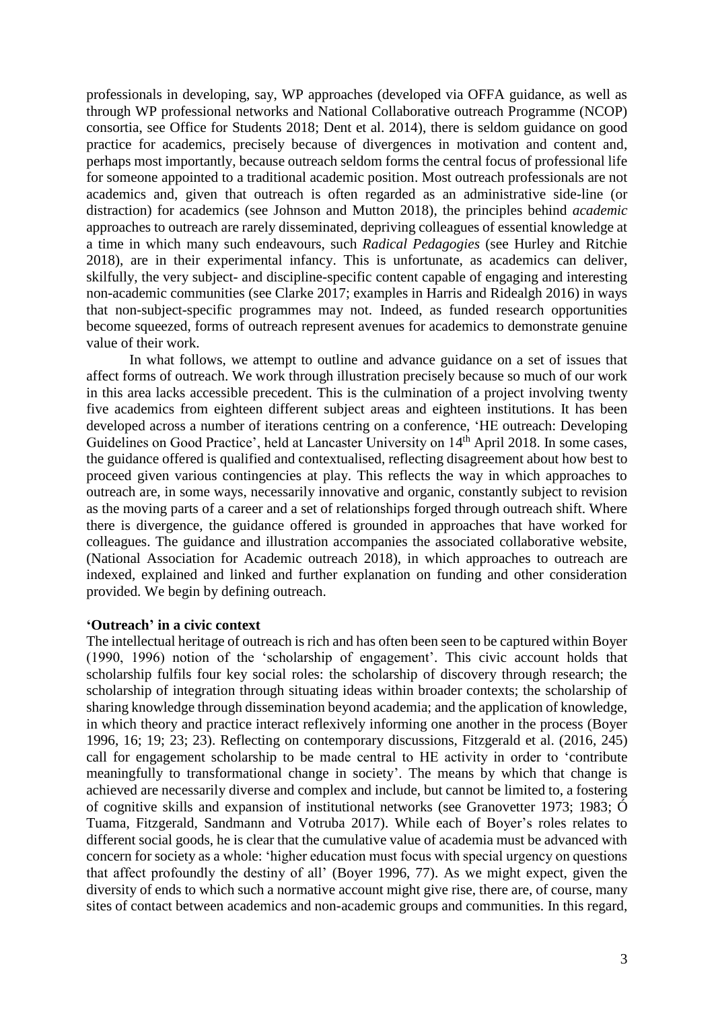professionals in developing, say, WP approaches (developed via OFFA guidance, as well as through WP professional networks and National Collaborative outreach Programme (NCOP) consortia, see Office for Students 2018; Dent et al. 2014), there is seldom guidance on good practice for academics, precisely because of divergences in motivation and content and, perhaps most importantly, because outreach seldom forms the central focus of professional life for someone appointed to a traditional academic position. Most outreach professionals are not academics and, given that outreach is often regarded as an administrative side-line (or distraction) for academics (see Johnson and Mutton 2018), the principles behind *academic* approaches to outreach are rarely disseminated, depriving colleagues of essential knowledge at a time in which many such endeavours, such *Radical Pedagogies* (see Hurley and Ritchie 2018), are in their experimental infancy. This is unfortunate, as academics can deliver, skilfully, the very subject- and discipline-specific content capable of engaging and interesting non-academic communities (see Clarke 2017; examples in Harris and Ridealgh 2016) in ways that non-subject-specific programmes may not. Indeed, as funded research opportunities become squeezed, forms of outreach represent avenues for academics to demonstrate genuine value of their work.

In what follows, we attempt to outline and advance guidance on a set of issues that affect forms of outreach. We work through illustration precisely because so much of our work in this area lacks accessible precedent. This is the culmination of a project involving twenty five academics from eighteen different subject areas and eighteen institutions. It has been developed across a number of iterations centring on a conference, 'HE outreach: Developing Guidelines on Good Practice', held at Lancaster University on 14<sup>th</sup> April 2018. In some cases, the guidance offered is qualified and contextualised, reflecting disagreement about how best to proceed given various contingencies at play. This reflects the way in which approaches to outreach are, in some ways, necessarily innovative and organic, constantly subject to revision as the moving parts of a career and a set of relationships forged through outreach shift. Where there is divergence, the guidance offered is grounded in approaches that have worked for colleagues. The guidance and illustration accompanies the associated collaborative website, (National Association for Academic outreach 2018), in which approaches to outreach are indexed, explained and linked and further explanation on funding and other consideration provided. We begin by defining outreach.

# **'Outreach' in a civic context**

The intellectual heritage of outreach is rich and has often been seen to be captured within Boyer (1990, 1996) notion of the 'scholarship of engagement'. This civic account holds that scholarship fulfils four key social roles: the scholarship of discovery through research; the scholarship of integration through situating ideas within broader contexts; the scholarship of sharing knowledge through dissemination beyond academia; and the application of knowledge, in which theory and practice interact reflexively informing one another in the process (Boyer 1996, 16; 19; 23; 23). Reflecting on contemporary discussions, Fitzgerald et al. (2016, 245) call for engagement scholarship to be made central to HE activity in order to 'contribute meaningfully to transformational change in society'. The means by which that change is achieved are necessarily diverse and complex and include, but cannot be limited to, a fostering of cognitive skills and expansion of institutional networks (see Granovetter 1973; 1983; Ó Tuama, Fitzgerald, Sandmann and Votruba 2017). While each of Boyer's roles relates to different social goods, he is clear that the cumulative value of academia must be advanced with concern for society as a whole: 'higher education must focus with special urgency on questions that affect profoundly the destiny of all' (Boyer 1996, 77). As we might expect, given the diversity of ends to which such a normative account might give rise, there are, of course, many sites of contact between academics and non-academic groups and communities. In this regard,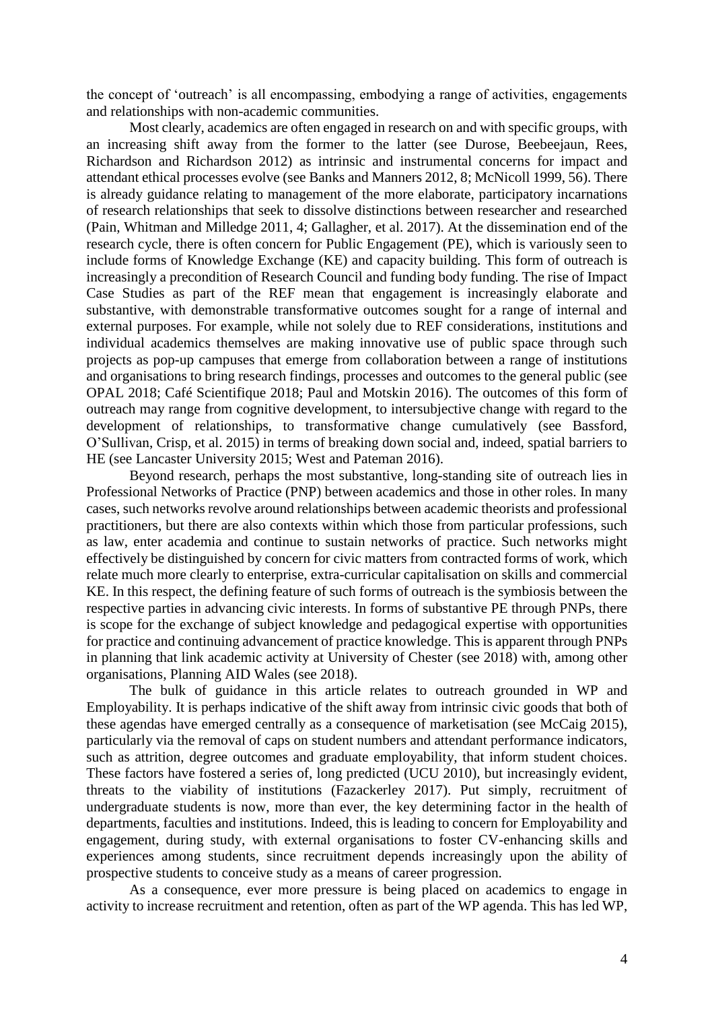the concept of 'outreach' is all encompassing, embodying a range of activities, engagements and relationships with non-academic communities.

Most clearly, academics are often engaged in research on and with specific groups, with an increasing shift away from the former to the latter (see Durose, Beebeejaun, Rees, Richardson and Richardson 2012) as intrinsic and instrumental concerns for impact and attendant ethical processes evolve (see Banks and Manners 2012, 8; McNicoll 1999, 56). There is already guidance relating to management of the more elaborate, participatory incarnations of research relationships that seek to dissolve distinctions between researcher and researched (Pain, Whitman and Milledge 2011, 4; Gallagher, et al. 2017). At the dissemination end of the research cycle, there is often concern for Public Engagement (PE), which is variously seen to include forms of Knowledge Exchange (KE) and capacity building. This form of outreach is increasingly a precondition of Research Council and funding body funding. The rise of Impact Case Studies as part of the REF mean that engagement is increasingly elaborate and substantive, with demonstrable transformative outcomes sought for a range of internal and external purposes. For example, while not solely due to REF considerations, institutions and individual academics themselves are making innovative use of public space through such projects as pop-up campuses that emerge from collaboration between a range of institutions and organisations to bring research findings, processes and outcomes to the general public (see OPAL 2018; Café Scientifique 2018; Paul and Motskin 2016). The outcomes of this form of outreach may range from cognitive development, to intersubjective change with regard to the development of relationships, to transformative change cumulatively (see Bassford, O'Sullivan, Crisp, et al. 2015) in terms of breaking down social and, indeed, spatial barriers to HE (see Lancaster University 2015; West and Pateman 2016).

Beyond research, perhaps the most substantive, long-standing site of outreach lies in Professional Networks of Practice (PNP) between academics and those in other roles. In many cases, such networks revolve around relationships between academic theorists and professional practitioners, but there are also contexts within which those from particular professions, such as law, enter academia and continue to sustain networks of practice. Such networks might effectively be distinguished by concern for civic matters from contracted forms of work, which relate much more clearly to enterprise, extra-curricular capitalisation on skills and commercial KE. In this respect, the defining feature of such forms of outreach is the symbiosis between the respective parties in advancing civic interests. In forms of substantive PE through PNPs, there is scope for the exchange of subject knowledge and pedagogical expertise with opportunities for practice and continuing advancement of practice knowledge. This is apparent through PNPs in planning that link academic activity at University of Chester (see 2018) with, among other organisations, Planning AID Wales (see 2018).

The bulk of guidance in this article relates to outreach grounded in WP and Employability. It is perhaps indicative of the shift away from intrinsic civic goods that both of these agendas have emerged centrally as a consequence of marketisation (see McCaig 2015), particularly via the removal of caps on student numbers and attendant performance indicators, such as attrition, degree outcomes and graduate employability, that inform student choices. These factors have fostered a series of, long predicted (UCU 2010), but increasingly evident, threats to the viability of institutions (Fazackerley 2017). Put simply, recruitment of undergraduate students is now, more than ever, the key determining factor in the health of departments, faculties and institutions. Indeed, this is leading to concern for Employability and engagement, during study, with external organisations to foster CV-enhancing skills and experiences among students, since recruitment depends increasingly upon the ability of prospective students to conceive study as a means of career progression.

As a consequence, ever more pressure is being placed on academics to engage in activity to increase recruitment and retention, often as part of the WP agenda. This has led WP,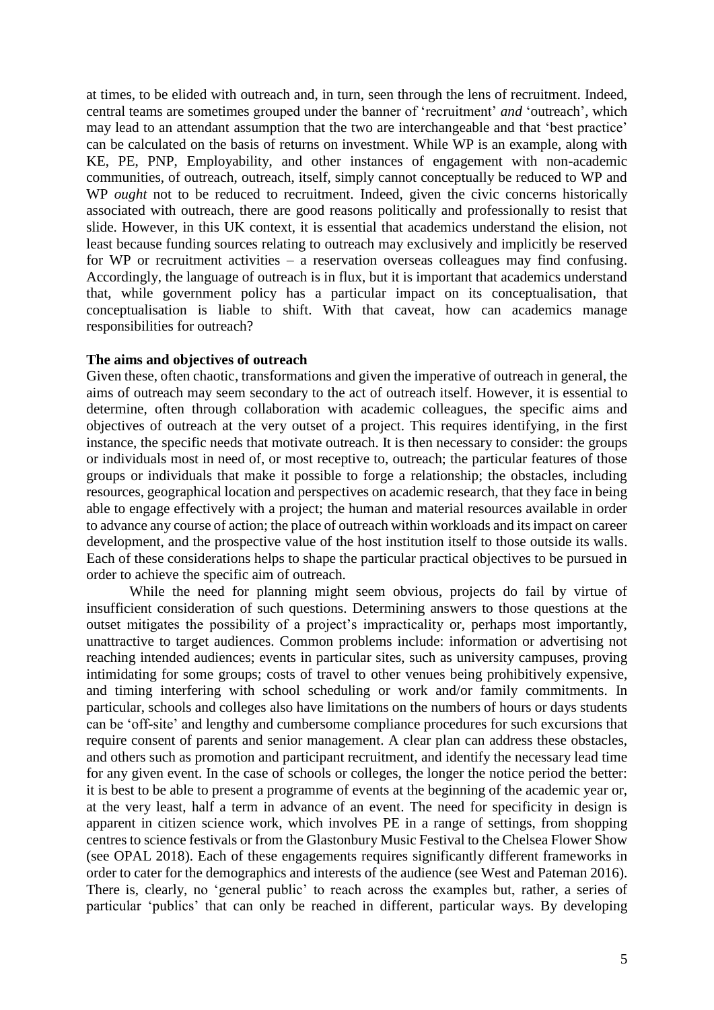at times, to be elided with outreach and, in turn, seen through the lens of recruitment. Indeed, central teams are sometimes grouped under the banner of 'recruitment' *and* 'outreach', which may lead to an attendant assumption that the two are interchangeable and that 'best practice' can be calculated on the basis of returns on investment. While WP is an example, along with KE, PE, PNP, Employability, and other instances of engagement with non-academic communities, of outreach, outreach, itself, simply cannot conceptually be reduced to WP and WP *ought* not to be reduced to recruitment. Indeed, given the civic concerns historically associated with outreach, there are good reasons politically and professionally to resist that slide. However, in this UK context, it is essential that academics understand the elision, not least because funding sources relating to outreach may exclusively and implicitly be reserved for WP or recruitment activities – a reservation overseas colleagues may find confusing. Accordingly, the language of outreach is in flux, but it is important that academics understand that, while government policy has a particular impact on its conceptualisation, that conceptualisation is liable to shift. With that caveat, how can academics manage responsibilities for outreach?

# **The aims and objectives of outreach**

Given these, often chaotic, transformations and given the imperative of outreach in general, the aims of outreach may seem secondary to the act of outreach itself. However, it is essential to determine, often through collaboration with academic colleagues, the specific aims and objectives of outreach at the very outset of a project. This requires identifying, in the first instance, the specific needs that motivate outreach. It is then necessary to consider: the groups or individuals most in need of, or most receptive to, outreach; the particular features of those groups or individuals that make it possible to forge a relationship; the obstacles, including resources, geographical location and perspectives on academic research, that they face in being able to engage effectively with a project; the human and material resources available in order to advance any course of action; the place of outreach within workloads and its impact on career development, and the prospective value of the host institution itself to those outside its walls. Each of these considerations helps to shape the particular practical objectives to be pursued in order to achieve the specific aim of outreach.

While the need for planning might seem obvious, projects do fail by virtue of insufficient consideration of such questions. Determining answers to those questions at the outset mitigates the possibility of a project's impracticality or, perhaps most importantly, unattractive to target audiences. Common problems include: information or advertising not reaching intended audiences; events in particular sites, such as university campuses, proving intimidating for some groups; costs of travel to other venues being prohibitively expensive, and timing interfering with school scheduling or work and/or family commitments. In particular, schools and colleges also have limitations on the numbers of hours or days students can be 'off-site' and lengthy and cumbersome compliance procedures for such excursions that require consent of parents and senior management. A clear plan can address these obstacles, and others such as promotion and participant recruitment, and identify the necessary lead time for any given event. In the case of schools or colleges, the longer the notice period the better: it is best to be able to present a programme of events at the beginning of the academic year or, at the very least, half a term in advance of an event. The need for specificity in design is apparent in citizen science work, which involves PE in a range of settings, from shopping centres to science festivals or from the Glastonbury Music Festival to the Chelsea Flower Show (see OPAL 2018). Each of these engagements requires significantly different frameworks in order to cater for the demographics and interests of the audience (see West and Pateman 2016). There is, clearly, no 'general public' to reach across the examples but, rather, a series of particular 'publics' that can only be reached in different, particular ways. By developing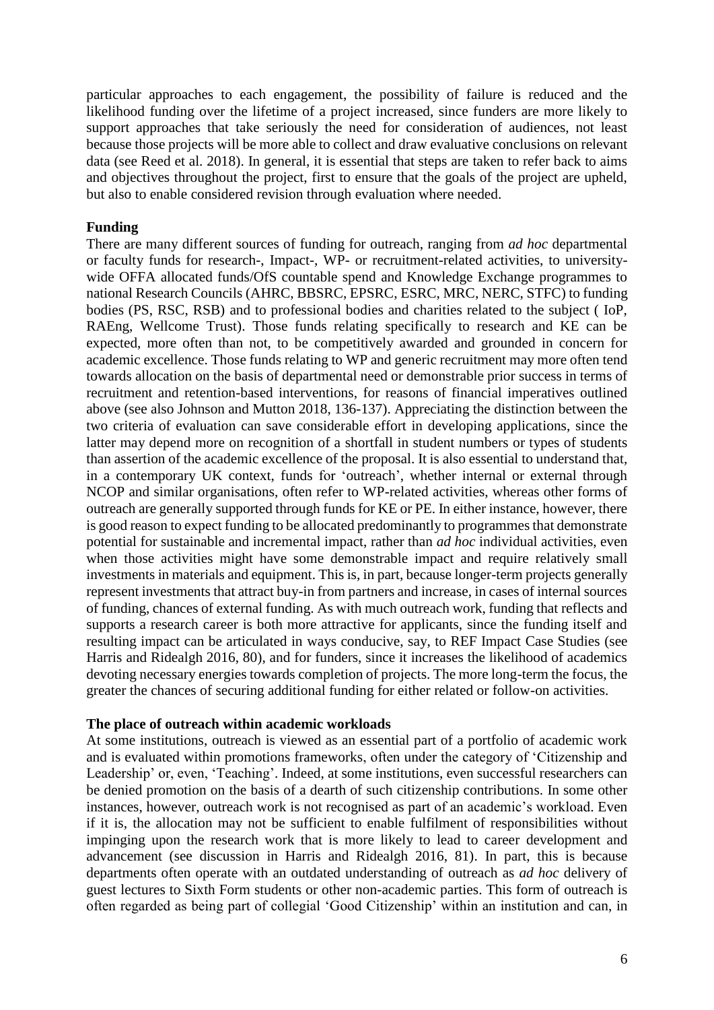particular approaches to each engagement, the possibility of failure is reduced and the likelihood funding over the lifetime of a project increased, since funders are more likely to support approaches that take seriously the need for consideration of audiences, not least because those projects will be more able to collect and draw evaluative conclusions on relevant data (see Reed et al. 2018). In general, it is essential that steps are taken to refer back to aims and objectives throughout the project, first to ensure that the goals of the project are upheld, but also to enable considered revision through evaluation where needed.

# **Funding**

There are many different sources of funding for outreach, ranging from *ad hoc* departmental or faculty funds for research-, Impact-, WP- or recruitment-related activities, to universitywide OFFA allocated funds/OfS countable spend and Knowledge Exchange programmes to national Research Councils (AHRC, BBSRC, EPSRC, ESRC, MRC, NERC, STFC) to funding bodies (PS, RSC, RSB) and to professional bodies and charities related to the subject ( IoP, RAEng, Wellcome Trust). Those funds relating specifically to research and KE can be expected, more often than not, to be competitively awarded and grounded in concern for academic excellence. Those funds relating to WP and generic recruitment may more often tend towards allocation on the basis of departmental need or demonstrable prior success in terms of recruitment and retention-based interventions, for reasons of financial imperatives outlined above (see also Johnson and Mutton 2018, 136-137). Appreciating the distinction between the two criteria of evaluation can save considerable effort in developing applications, since the latter may depend more on recognition of a shortfall in student numbers or types of students than assertion of the academic excellence of the proposal. It is also essential to understand that, in a contemporary UK context, funds for 'outreach', whether internal or external through NCOP and similar organisations, often refer to WP-related activities, whereas other forms of outreach are generally supported through funds for KE or PE. In either instance, however, there is good reason to expect funding to be allocated predominantly to programmes that demonstrate potential for sustainable and incremental impact, rather than *ad hoc* individual activities, even when those activities might have some demonstrable impact and require relatively small investments in materials and equipment. This is, in part, because longer-term projects generally represent investments that attract buy-in from partners and increase, in cases of internal sources of funding, chances of external funding. As with much outreach work, funding that reflects and supports a research career is both more attractive for applicants, since the funding itself and resulting impact can be articulated in ways conducive, say, to REF Impact Case Studies (see Harris and Ridealgh 2016, 80), and for funders, since it increases the likelihood of academics devoting necessary energies towards completion of projects. The more long-term the focus, the greater the chances of securing additional funding for either related or follow-on activities.

# **The place of outreach within academic workloads**

At some institutions, outreach is viewed as an essential part of a portfolio of academic work and is evaluated within promotions frameworks, often under the category of 'Citizenship and Leadership' or, even, 'Teaching'. Indeed, at some institutions, even successful researchers can be denied promotion on the basis of a dearth of such citizenship contributions. In some other instances, however, outreach work is not recognised as part of an academic's workload. Even if it is, the allocation may not be sufficient to enable fulfilment of responsibilities without impinging upon the research work that is more likely to lead to career development and advancement (see discussion in Harris and Ridealgh 2016, 81). In part, this is because departments often operate with an outdated understanding of outreach as *ad hoc* delivery of guest lectures to Sixth Form students or other non-academic parties. This form of outreach is often regarded as being part of collegial 'Good Citizenship' within an institution and can, in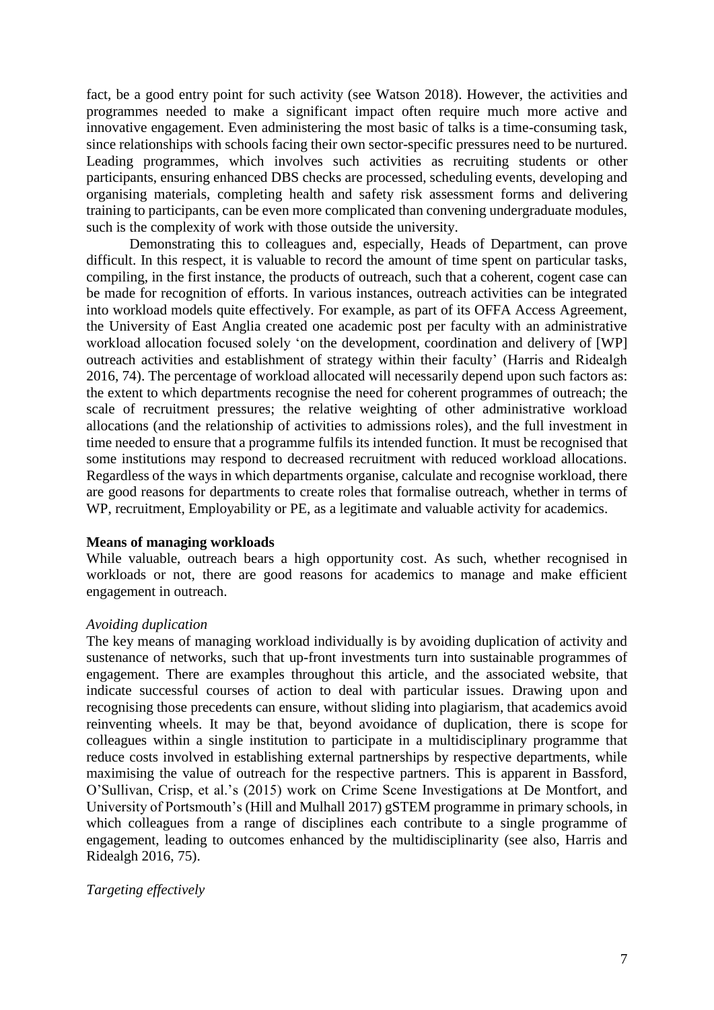fact, be a good entry point for such activity (see Watson 2018). However, the activities and programmes needed to make a significant impact often require much more active and innovative engagement. Even administering the most basic of talks is a time-consuming task, since relationships with schools facing their own sector-specific pressures need to be nurtured. Leading programmes, which involves such activities as recruiting students or other participants, ensuring enhanced DBS checks are processed, scheduling events, developing and organising materials, completing health and safety risk assessment forms and delivering training to participants, can be even more complicated than convening undergraduate modules, such is the complexity of work with those outside the university.

Demonstrating this to colleagues and, especially, Heads of Department, can prove difficult. In this respect, it is valuable to record the amount of time spent on particular tasks, compiling, in the first instance, the products of outreach, such that a coherent, cogent case can be made for recognition of efforts. In various instances, outreach activities can be integrated into workload models quite effectively. For example, as part of its OFFA Access Agreement, the University of East Anglia created one academic post per faculty with an administrative workload allocation focused solely 'on the development, coordination and delivery of [WP] outreach activities and establishment of strategy within their faculty' (Harris and Ridealgh 2016, 74). The percentage of workload allocated will necessarily depend upon such factors as: the extent to which departments recognise the need for coherent programmes of outreach; the scale of recruitment pressures; the relative weighting of other administrative workload allocations (and the relationship of activities to admissions roles), and the full investment in time needed to ensure that a programme fulfils its intended function. It must be recognised that some institutions may respond to decreased recruitment with reduced workload allocations. Regardless of the ways in which departments organise, calculate and recognise workload, there are good reasons for departments to create roles that formalise outreach, whether in terms of WP, recruitment, Employability or PE, as a legitimate and valuable activity for academics.

# **Means of managing workloads**

While valuable, outreach bears a high opportunity cost. As such, whether recognised in workloads or not, there are good reasons for academics to manage and make efficient engagement in outreach.

# *Avoiding duplication*

The key means of managing workload individually is by avoiding duplication of activity and sustenance of networks, such that up-front investments turn into sustainable programmes of engagement. There are examples throughout this article, and the associated website, that indicate successful courses of action to deal with particular issues. Drawing upon and recognising those precedents can ensure, without sliding into plagiarism, that academics avoid reinventing wheels. It may be that, beyond avoidance of duplication, there is scope for colleagues within a single institution to participate in a multidisciplinary programme that reduce costs involved in establishing external partnerships by respective departments, while maximising the value of outreach for the respective partners. This is apparent in Bassford, O'Sullivan, Crisp, et al.'s (2015) work on Crime Scene Investigations at De Montfort, and University of Portsmouth's (Hill and Mulhall 2017) gSTEM programme in primary schools, in which colleagues from a range of disciplines each contribute to a single programme of engagement, leading to outcomes enhanced by the multidisciplinarity (see also, Harris and Ridealgh 2016, 75).

# *Targeting effectively*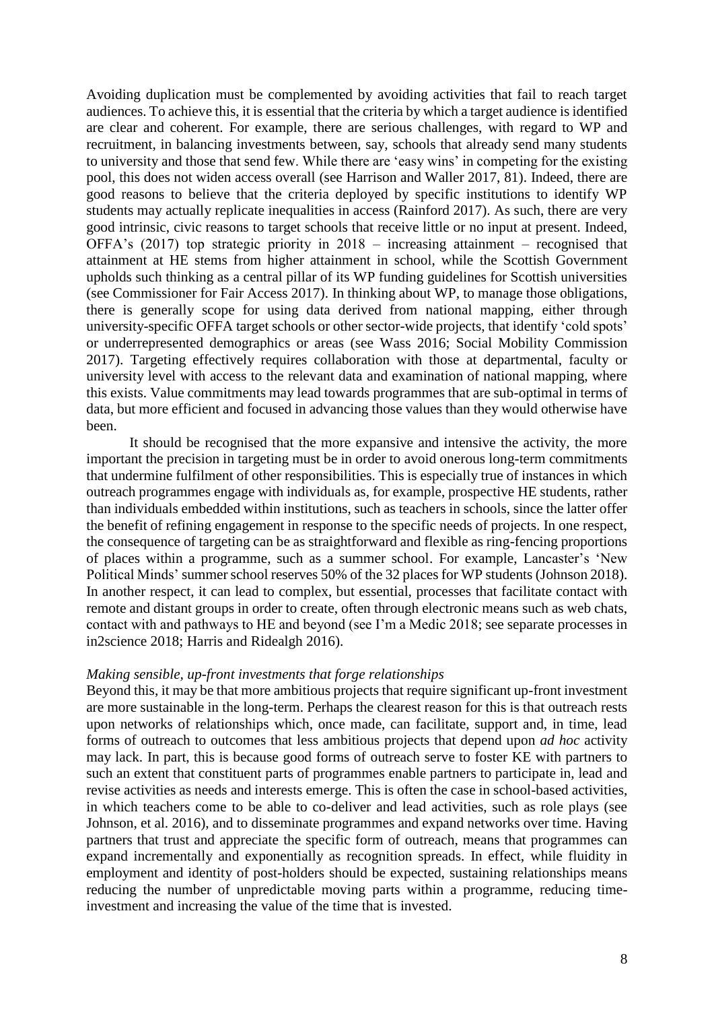Avoiding duplication must be complemented by avoiding activities that fail to reach target audiences. To achieve this, it is essential that the criteria by which a target audience is identified are clear and coherent. For example, there are serious challenges, with regard to WP and recruitment, in balancing investments between, say, schools that already send many students to university and those that send few. While there are 'easy wins' in competing for the existing pool, this does not widen access overall (see Harrison and Waller 2017, 81). Indeed, there are good reasons to believe that the criteria deployed by specific institutions to identify WP students may actually replicate inequalities in access (Rainford 2017). As such, there are very good intrinsic, civic reasons to target schools that receive little or no input at present. Indeed, OFFA's (2017) top strategic priority in 2018 – increasing attainment – recognised that attainment at HE stems from higher attainment in school, while the Scottish Government upholds such thinking as a central pillar of its WP funding guidelines for Scottish universities (see Commissioner for Fair Access 2017). In thinking about WP, to manage those obligations, there is generally scope for using data derived from national mapping, either through university-specific OFFA target schools or other sector-wide projects, that identify 'cold spots' or underrepresented demographics or areas (see Wass 2016; Social Mobility Commission 2017). Targeting effectively requires collaboration with those at departmental, faculty or university level with access to the relevant data and examination of national mapping, where this exists. Value commitments may lead towards programmes that are sub-optimal in terms of data, but more efficient and focused in advancing those values than they would otherwise have been.

It should be recognised that the more expansive and intensive the activity, the more important the precision in targeting must be in order to avoid onerous long-term commitments that undermine fulfilment of other responsibilities. This is especially true of instances in which outreach programmes engage with individuals as, for example, prospective HE students, rather than individuals embedded within institutions, such as teachers in schools, since the latter offer the benefit of refining engagement in response to the specific needs of projects. In one respect, the consequence of targeting can be as straightforward and flexible as ring-fencing proportions of places within a programme, such as a summer school. For example, Lancaster's 'New Political Minds' summer school reserves 50% of the 32 places for WP students (Johnson 2018). In another respect, it can lead to complex, but essential, processes that facilitate contact with remote and distant groups in order to create, often through electronic means such as web chats, contact with and pathways to HE and beyond (see I'm a Medic 2018; see separate processes in in2science 2018; Harris and Ridealgh 2016).

#### *Making sensible, up-front investments that forge relationships*

Beyond this, it may be that more ambitious projects that require significant up-front investment are more sustainable in the long-term. Perhaps the clearest reason for this is that outreach rests upon networks of relationships which, once made, can facilitate, support and, in time, lead forms of outreach to outcomes that less ambitious projects that depend upon *ad hoc* activity may lack. In part, this is because good forms of outreach serve to foster KE with partners to such an extent that constituent parts of programmes enable partners to participate in, lead and revise activities as needs and interests emerge. This is often the case in school-based activities, in which teachers come to be able to co-deliver and lead activities, such as role plays (see Johnson, et al. 2016), and to disseminate programmes and expand networks over time. Having partners that trust and appreciate the specific form of outreach, means that programmes can expand incrementally and exponentially as recognition spreads. In effect, while fluidity in employment and identity of post-holders should be expected, sustaining relationships means reducing the number of unpredictable moving parts within a programme, reducing timeinvestment and increasing the value of the time that is invested.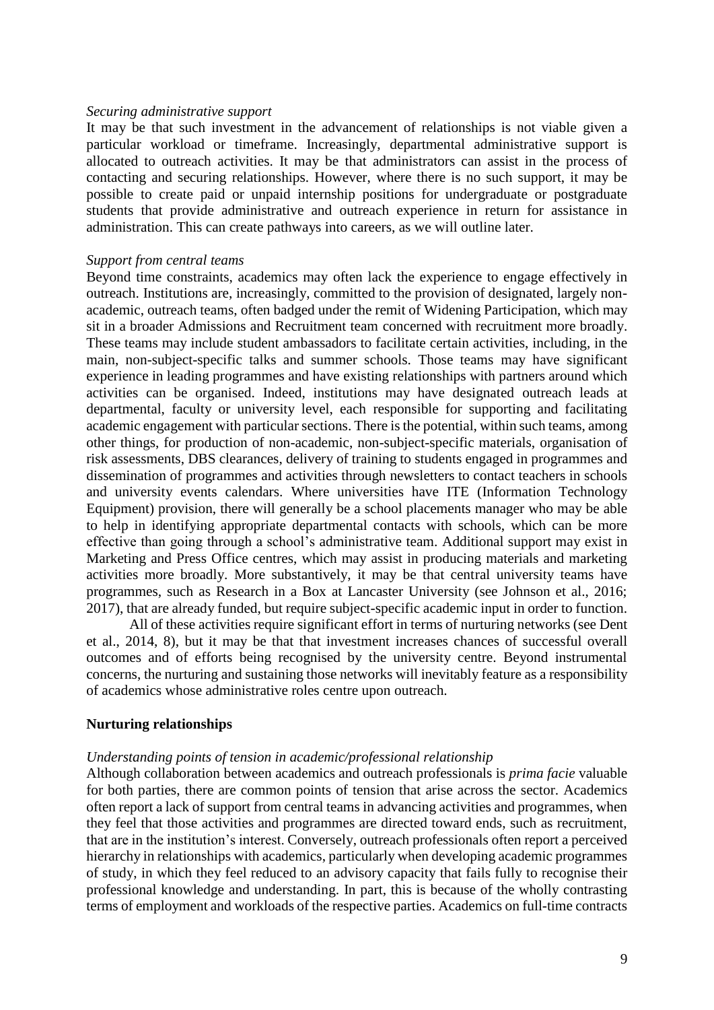#### *Securing administrative support*

It may be that such investment in the advancement of relationships is not viable given a particular workload or timeframe. Increasingly, departmental administrative support is allocated to outreach activities. It may be that administrators can assist in the process of contacting and securing relationships. However, where there is no such support, it may be possible to create paid or unpaid internship positions for undergraduate or postgraduate students that provide administrative and outreach experience in return for assistance in administration. This can create pathways into careers, as we will outline later.

## *Support from central teams*

Beyond time constraints, academics may often lack the experience to engage effectively in outreach. Institutions are, increasingly, committed to the provision of designated, largely nonacademic, outreach teams, often badged under the remit of Widening Participation, which may sit in a broader Admissions and Recruitment team concerned with recruitment more broadly. These teams may include student ambassadors to facilitate certain activities, including, in the main, non-subject-specific talks and summer schools. Those teams may have significant experience in leading programmes and have existing relationships with partners around which activities can be organised. Indeed, institutions may have designated outreach leads at departmental, faculty or university level, each responsible for supporting and facilitating academic engagement with particular sections. There is the potential, within such teams, among other things, for production of non-academic, non-subject-specific materials, organisation of risk assessments, DBS clearances, delivery of training to students engaged in programmes and dissemination of programmes and activities through newsletters to contact teachers in schools and university events calendars. Where universities have ITE (Information Technology Equipment) provision, there will generally be a school placements manager who may be able to help in identifying appropriate departmental contacts with schools, which can be more effective than going through a school's administrative team. Additional support may exist in Marketing and Press Office centres, which may assist in producing materials and marketing activities more broadly. More substantively, it may be that central university teams have programmes, such as Research in a Box at Lancaster University (see Johnson et al., 2016; 2017), that are already funded, but require subject-specific academic input in order to function.

All of these activities require significant effort in terms of nurturing networks (see Dent et al., 2014, 8), but it may be that that investment increases chances of successful overall outcomes and of efforts being recognised by the university centre. Beyond instrumental concerns, the nurturing and sustaining those networks will inevitably feature as a responsibility of academics whose administrative roles centre upon outreach.

#### **Nurturing relationships**

#### *Understanding points of tension in academic/professional relationship*

Although collaboration between academics and outreach professionals is *prima facie* valuable for both parties, there are common points of tension that arise across the sector. Academics often report a lack of support from central teams in advancing activities and programmes, when they feel that those activities and programmes are directed toward ends, such as recruitment, that are in the institution's interest. Conversely, outreach professionals often report a perceived hierarchy in relationships with academics, particularly when developing academic programmes of study, in which they feel reduced to an advisory capacity that fails fully to recognise their professional knowledge and understanding. In part, this is because of the wholly contrasting terms of employment and workloads of the respective parties. Academics on full-time contracts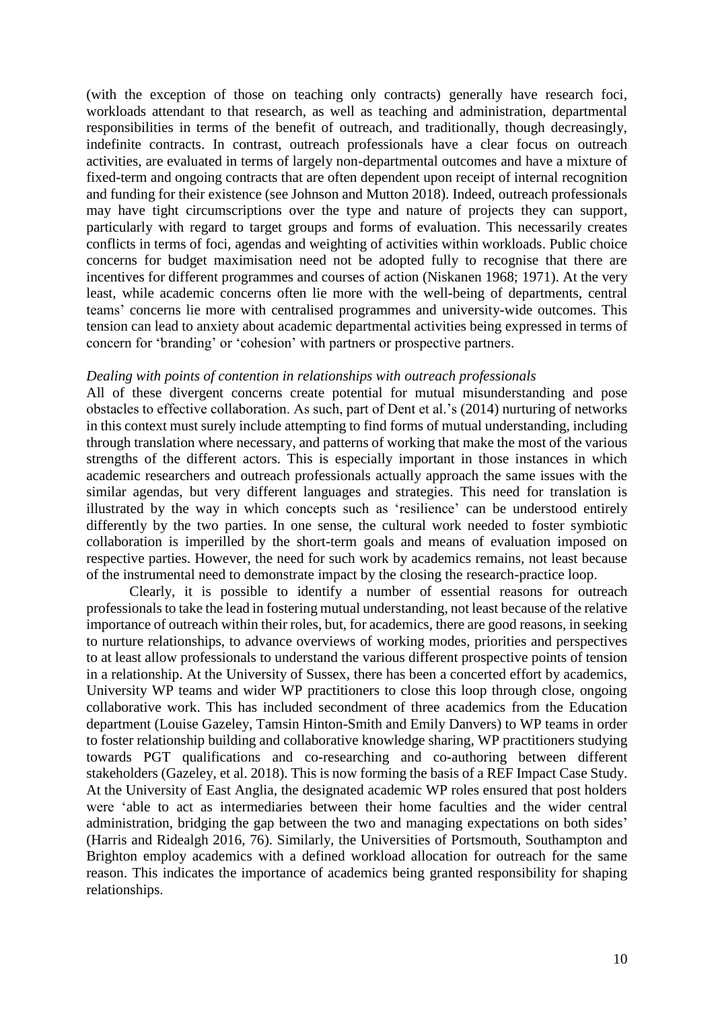(with the exception of those on teaching only contracts) generally have research foci, workloads attendant to that research, as well as teaching and administration, departmental responsibilities in terms of the benefit of outreach, and traditionally, though decreasingly, indefinite contracts. In contrast, outreach professionals have a clear focus on outreach activities, are evaluated in terms of largely non-departmental outcomes and have a mixture of fixed-term and ongoing contracts that are often dependent upon receipt of internal recognition and funding for their existence (see Johnson and Mutton 2018). Indeed, outreach professionals may have tight circumscriptions over the type and nature of projects they can support, particularly with regard to target groups and forms of evaluation. This necessarily creates conflicts in terms of foci, agendas and weighting of activities within workloads. Public choice concerns for budget maximisation need not be adopted fully to recognise that there are incentives for different programmes and courses of action (Niskanen 1968; 1971). At the very least, while academic concerns often lie more with the well-being of departments, central teams' concerns lie more with centralised programmes and university-wide outcomes. This tension can lead to anxiety about academic departmental activities being expressed in terms of concern for 'branding' or 'cohesion' with partners or prospective partners.

# *Dealing with points of contention in relationships with outreach professionals*

All of these divergent concerns create potential for mutual misunderstanding and pose obstacles to effective collaboration. As such, part of Dent et al.'s (2014) nurturing of networks in this context must surely include attempting to find forms of mutual understanding, including through translation where necessary, and patterns of working that make the most of the various strengths of the different actors. This is especially important in those instances in which academic researchers and outreach professionals actually approach the same issues with the similar agendas, but very different languages and strategies. This need for translation is illustrated by the way in which concepts such as 'resilience' can be understood entirely differently by the two parties. In one sense, the cultural work needed to foster symbiotic collaboration is imperilled by the short-term goals and means of evaluation imposed on respective parties. However, the need for such work by academics remains, not least because of the instrumental need to demonstrate impact by the closing the research-practice loop.

Clearly, it is possible to identify a number of essential reasons for outreach professionals to take the lead in fostering mutual understanding, not least because of the relative importance of outreach within their roles, but, for academics, there are good reasons, in seeking to nurture relationships, to advance overviews of working modes, priorities and perspectives to at least allow professionals to understand the various different prospective points of tension in a relationship. At the University of Sussex, there has been a concerted effort by academics, University WP teams and wider WP practitioners to close this loop through close, ongoing collaborative work. This has included secondment of three academics from the Education department (Louise Gazeley, Tamsin Hinton-Smith and Emily Danvers) to WP teams in order to foster relationship building and collaborative knowledge sharing, WP practitioners studying towards PGT qualifications and co-researching and co-authoring between different stakeholders (Gazeley, et al. 2018). This is now forming the basis of a REF Impact Case Study. At the University of East Anglia, the designated academic WP roles ensured that post holders were 'able to act as intermediaries between their home faculties and the wider central administration, bridging the gap between the two and managing expectations on both sides' (Harris and Ridealgh 2016, 76). Similarly, the Universities of Portsmouth, Southampton and Brighton employ academics with a defined workload allocation for outreach for the same reason. This indicates the importance of academics being granted responsibility for shaping relationships.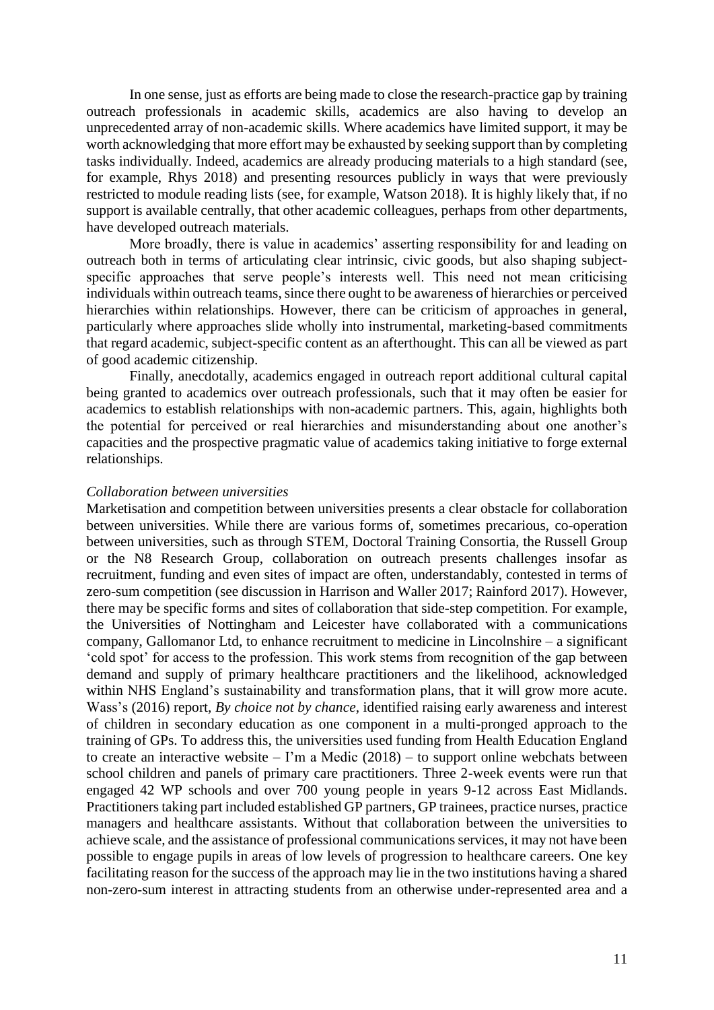In one sense, just as efforts are being made to close the research-practice gap by training outreach professionals in academic skills, academics are also having to develop an unprecedented array of non-academic skills. Where academics have limited support, it may be worth acknowledging that more effort may be exhausted by seeking support than by completing tasks individually. Indeed, academics are already producing materials to a high standard (see, for example, Rhys 2018) and presenting resources publicly in ways that were previously restricted to module reading lists (see, for example, Watson 2018). It is highly likely that, if no support is available centrally, that other academic colleagues, perhaps from other departments, have developed outreach materials.

More broadly, there is value in academics' asserting responsibility for and leading on outreach both in terms of articulating clear intrinsic, civic goods, but also shaping subjectspecific approaches that serve people's interests well. This need not mean criticising individuals within outreach teams, since there ought to be awareness of hierarchies or perceived hierarchies within relationships. However, there can be criticism of approaches in general, particularly where approaches slide wholly into instrumental, marketing-based commitments that regard academic, subject-specific content as an afterthought. This can all be viewed as part of good academic citizenship.

Finally, anecdotally, academics engaged in outreach report additional cultural capital being granted to academics over outreach professionals, such that it may often be easier for academics to establish relationships with non-academic partners. This, again, highlights both the potential for perceived or real hierarchies and misunderstanding about one another's capacities and the prospective pragmatic value of academics taking initiative to forge external relationships.

### *Collaboration between universities*

Marketisation and competition between universities presents a clear obstacle for collaboration between universities. While there are various forms of, sometimes precarious, co-operation between universities, such as through STEM, Doctoral Training Consortia, the Russell Group or the N8 Research Group, collaboration on outreach presents challenges insofar as recruitment, funding and even sites of impact are often, understandably, contested in terms of zero-sum competition (see discussion in Harrison and Waller 2017; Rainford 2017). However, there may be specific forms and sites of collaboration that side-step competition. For example, the Universities of Nottingham and Leicester have collaborated with a communications company, Gallomanor Ltd, to enhance recruitment to medicine in Lincolnshire – a significant 'cold spot' for access to the profession. This work stems from recognition of the gap between demand and supply of primary healthcare practitioners and the likelihood, acknowledged within NHS England's sustainability and transformation plans, that it will grow more acute. Wass's (2016) report, *By choice not by chance*, identified raising early awareness and interest of children in secondary education as one component in a multi-pronged approach to the training of GPs. To address this, the universities used funding from Health Education England to create an interactive website – I'm a Medic  $(2018)$  – to support online webchats between school children and panels of primary care practitioners. Three 2-week events were run that engaged 42 WP schools and over 700 young people in years 9-12 across East Midlands. Practitioners taking part included established GP partners, GP trainees, practice nurses, practice managers and healthcare assistants. Without that collaboration between the universities to achieve scale, and the assistance of professional communications services, it may not have been possible to engage pupils in areas of low levels of progression to healthcare careers. One key facilitating reason for the success of the approach may lie in the two institutions having a shared non-zero-sum interest in attracting students from an otherwise under-represented area and a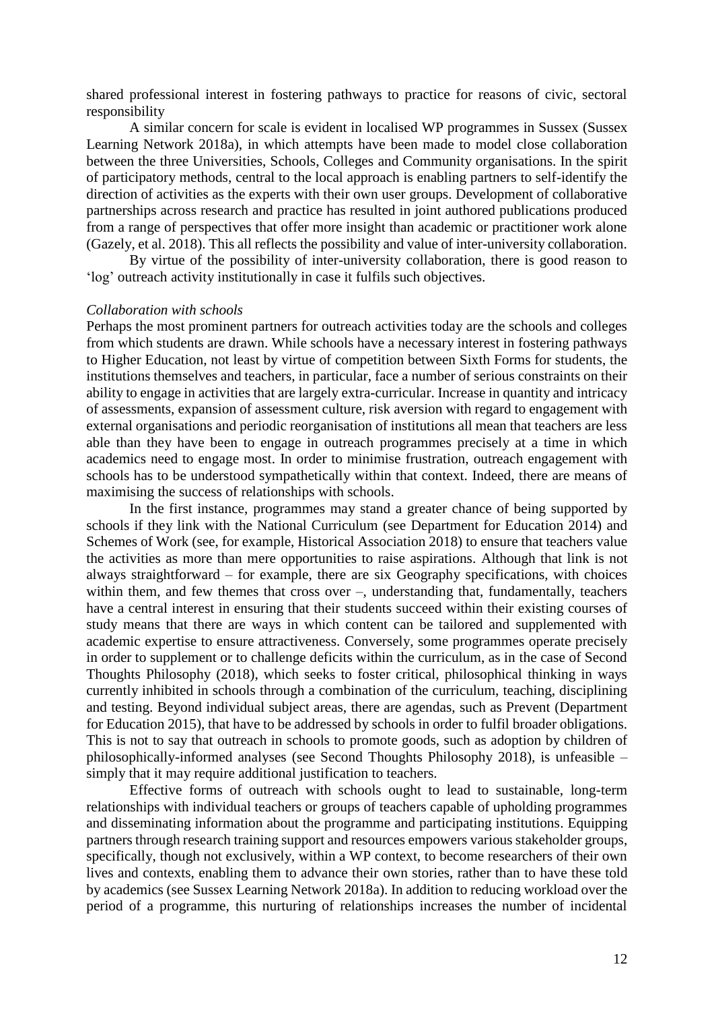shared professional interest in fostering pathways to practice for reasons of civic, sectoral responsibility

A similar concern for scale is evident in localised WP programmes in Sussex (Sussex Learning Network 2018a), in which attempts have been made to model close collaboration between the three Universities, Schools, Colleges and Community organisations. In the spirit of participatory methods, central to the local approach is enabling partners to self-identify the direction of activities as the experts with their own user groups. Development of collaborative partnerships across research and practice has resulted in joint authored publications produced from a range of perspectives that offer more insight than academic or practitioner work alone (Gazely, et al. 2018). This all reflects the possibility and value of inter-university collaboration.

By virtue of the possibility of inter-university collaboration, there is good reason to 'log' outreach activity institutionally in case it fulfils such objectives.

# *Collaboration with schools*

Perhaps the most prominent partners for outreach activities today are the schools and colleges from which students are drawn. While schools have a necessary interest in fostering pathways to Higher Education, not least by virtue of competition between Sixth Forms for students, the institutions themselves and teachers, in particular, face a number of serious constraints on their ability to engage in activities that are largely extra-curricular. Increase in quantity and intricacy of assessments, expansion of assessment culture, risk aversion with regard to engagement with external organisations and periodic reorganisation of institutions all mean that teachers are less able than they have been to engage in outreach programmes precisely at a time in which academics need to engage most. In order to minimise frustration, outreach engagement with schools has to be understood sympathetically within that context. Indeed, there are means of maximising the success of relationships with schools.

In the first instance, programmes may stand a greater chance of being supported by schools if they link with the National Curriculum (see Department for Education 2014) and Schemes of Work (see, for example, Historical Association 2018) to ensure that teachers value the activities as more than mere opportunities to raise aspirations. Although that link is not always straightforward – for example, there are six Geography specifications, with choices within them, and few themes that cross over –, understanding that, fundamentally, teachers have a central interest in ensuring that their students succeed within their existing courses of study means that there are ways in which content can be tailored and supplemented with academic expertise to ensure attractiveness. Conversely, some programmes operate precisely in order to supplement or to challenge deficits within the curriculum, as in the case of Second Thoughts Philosophy (2018), which seeks to foster critical, philosophical thinking in ways currently inhibited in schools through a combination of the curriculum, teaching, disciplining and testing. Beyond individual subject areas, there are agendas, such as Prevent (Department for Education 2015), that have to be addressed by schools in order to fulfil broader obligations. This is not to say that outreach in schools to promote goods, such as adoption by children of philosophically-informed analyses (see Second Thoughts Philosophy 2018), is unfeasible – simply that it may require additional justification to teachers.

Effective forms of outreach with schools ought to lead to sustainable, long-term relationships with individual teachers or groups of teachers capable of upholding programmes and disseminating information about the programme and participating institutions. Equipping partners through research training support and resources empowers various stakeholder groups, specifically, though not exclusively, within a WP context, to become researchers of their own lives and contexts, enabling them to advance their own stories, rather than to have these told by academics (see Sussex Learning Network 2018a). In addition to reducing workload over the period of a programme, this nurturing of relationships increases the number of incidental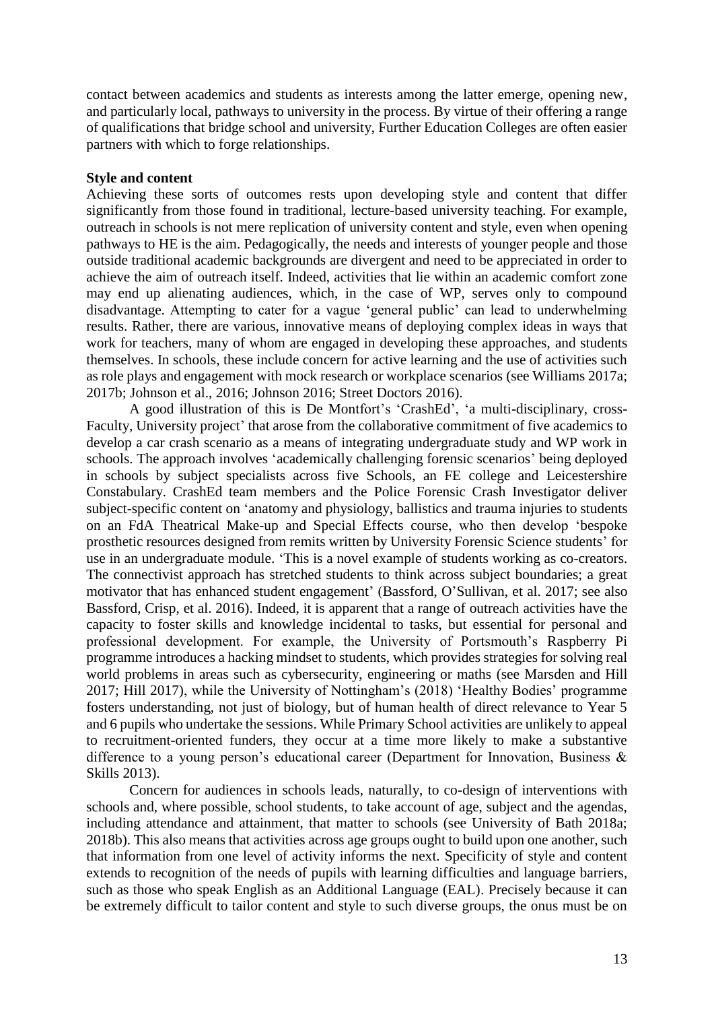contact between academics and students as interests among the latter emerge, opening new, and particularly local, pathways to university in the process. By virtue of their offering a range of qualifications that bridge school and university, Further Education Colleges are often easier partners with which to forge relationships.

# **Style and content**

Achieving these sorts of outcomes rests upon developing style and content that differ significantly from those found in traditional, lecture-based university teaching. For example, outreach in schools is not mere replication of university content and style, even when opening pathways to HE is the aim. Pedagogically, the needs and interests of younger people and those outside traditional academic backgrounds are divergent and need to be appreciated in order to achieve the aim of outreach itself. Indeed, activities that lie within an academic comfort zone may end up alienating audiences, which, in the case of WP, serves only to compound disadvantage. Attempting to cater for a vague 'general public' can lead to underwhelming results. Rather, there are various, innovative means of deploying complex ideas in ways that work for teachers, many of whom are engaged in developing these approaches, and students themselves. In schools, these include concern for active learning and the use of activities such as role plays and engagement with mock research or workplace scenarios (see Williams 2017a; 2017b; Johnson et al., 2016; Johnson 2016; Street Doctors 2016).

A good illustration of this is De Montfort's 'CrashEd', 'a multi-disciplinary, cross-Faculty, University project' that arose from the collaborative commitment of five academics to develop a car crash scenario as a means of integrating undergraduate study and WP work in schools. The approach involves 'academically challenging forensic scenarios' being deployed in schools by subject specialists across five Schools, an FE college and Leicestershire Constabulary. CrashEd team members and the Police Forensic Crash Investigator deliver subject-specific content on 'anatomy and physiology, ballistics and trauma injuries to students on an FdA Theatrical Make-up and Special Effects course, who then develop 'bespoke prosthetic resources designed from remits written by University Forensic Science students' for use in an undergraduate module. 'This is a novel example of students working as co-creators. The connectivist approach has stretched students to think across subject boundaries; a great motivator that has enhanced student engagement' (Bassford, O'Sullivan, et al. 2017; see also Bassford, Crisp, et al. 2016). Indeed, it is apparent that a range of outreach activities have the capacity to foster skills and knowledge incidental to tasks, but essential for personal and professional development. For example, the University of Portsmouth's Raspberry Pi programme introduces a hacking mindset to students, which provides strategies for solving real world problems in areas such as cybersecurity, engineering or maths (see Marsden and Hill 2017; Hill 2017), while the University of Nottingham's (2018) 'Healthy Bodies' programme fosters understanding, not just of biology, but of human health of direct relevance to Year 5 and 6 pupils who undertake the sessions. While Primary School activities are unlikely to appeal to recruitment-oriented funders, they occur at a time more likely to make a substantive difference to a young person's educational career (Department for Innovation, Business & Skills 2013).

Concern for audiences in schools leads, naturally, to co-design of interventions with schools and, where possible, school students, to take account of age, subject and the agendas, including attendance and attainment, that matter to schools (see University of Bath 2018a; 2018b). This also means that activities across age groups ought to build upon one another, such that information from one level of activity informs the next. Specificity of style and content extends to recognition of the needs of pupils with learning difficulties and language barriers, such as those who speak English as an Additional Language (EAL). Precisely because it can be extremely difficult to tailor content and style to such diverse groups, the onus must be on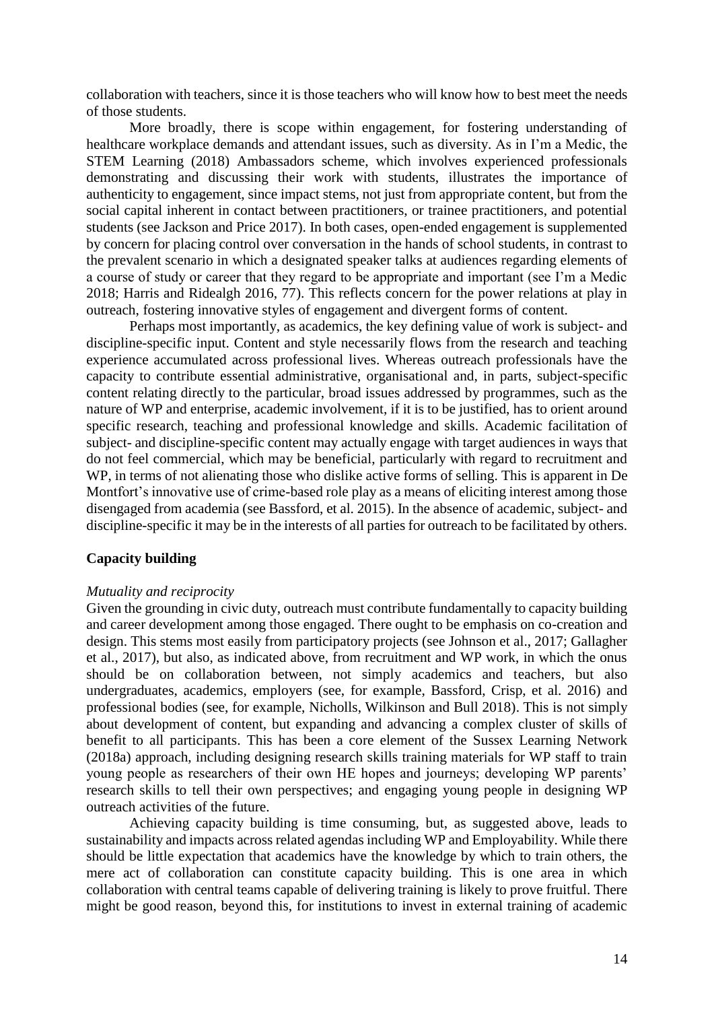collaboration with teachers, since it is those teachers who will know how to best meet the needs of those students.

More broadly, there is scope within engagement, for fostering understanding of healthcare workplace demands and attendant issues, such as diversity. As in I'm a Medic, the STEM Learning (2018) Ambassadors scheme, which involves experienced professionals demonstrating and discussing their work with students, illustrates the importance of authenticity to engagement, since impact stems, not just from appropriate content, but from the social capital inherent in contact between practitioners, or trainee practitioners, and potential students (see Jackson and Price 2017). In both cases, open-ended engagement is supplemented by concern for placing control over conversation in the hands of school students, in contrast to the prevalent scenario in which a designated speaker talks at audiences regarding elements of a course of study or career that they regard to be appropriate and important (see I'm a Medic 2018; Harris and Ridealgh 2016, 77). This reflects concern for the power relations at play in outreach, fostering innovative styles of engagement and divergent forms of content.

Perhaps most importantly, as academics, the key defining value of work is subject- and discipline-specific input. Content and style necessarily flows from the research and teaching experience accumulated across professional lives. Whereas outreach professionals have the capacity to contribute essential administrative, organisational and, in parts, subject-specific content relating directly to the particular, broad issues addressed by programmes, such as the nature of WP and enterprise, academic involvement, if it is to be justified, has to orient around specific research, teaching and professional knowledge and skills. Academic facilitation of subject- and discipline-specific content may actually engage with target audiences in ways that do not feel commercial, which may be beneficial, particularly with regard to recruitment and WP, in terms of not alienating those who dislike active forms of selling. This is apparent in De Montfort's innovative use of crime-based role play as a means of eliciting interest among those disengaged from academia (see Bassford, et al. 2015). In the absence of academic, subject- and discipline-specific it may be in the interests of all parties for outreach to be facilitated by others.

#### **Capacity building**

#### *Mutuality and reciprocity*

Given the grounding in civic duty, outreach must contribute fundamentally to capacity building and career development among those engaged. There ought to be emphasis on co-creation and design. This stems most easily from participatory projects (see Johnson et al., 2017; Gallagher et al., 2017), but also, as indicated above, from recruitment and WP work, in which the onus should be on collaboration between, not simply academics and teachers, but also undergraduates, academics, employers (see, for example, Bassford, Crisp, et al. 2016) and professional bodies (see, for example, Nicholls, Wilkinson and Bull 2018). This is not simply about development of content, but expanding and advancing a complex cluster of skills of benefit to all participants. This has been a core element of the Sussex Learning Network (2018a) approach, including designing research skills training materials for WP staff to train young people as researchers of their own HE hopes and journeys; developing WP parents' research skills to tell their own perspectives; and engaging young people in designing WP outreach activities of the future.

Achieving capacity building is time consuming, but, as suggested above, leads to sustainability and impacts across related agendas including WP and Employability. While there should be little expectation that academics have the knowledge by which to train others, the mere act of collaboration can constitute capacity building. This is one area in which collaboration with central teams capable of delivering training is likely to prove fruitful. There might be good reason, beyond this, for institutions to invest in external training of academic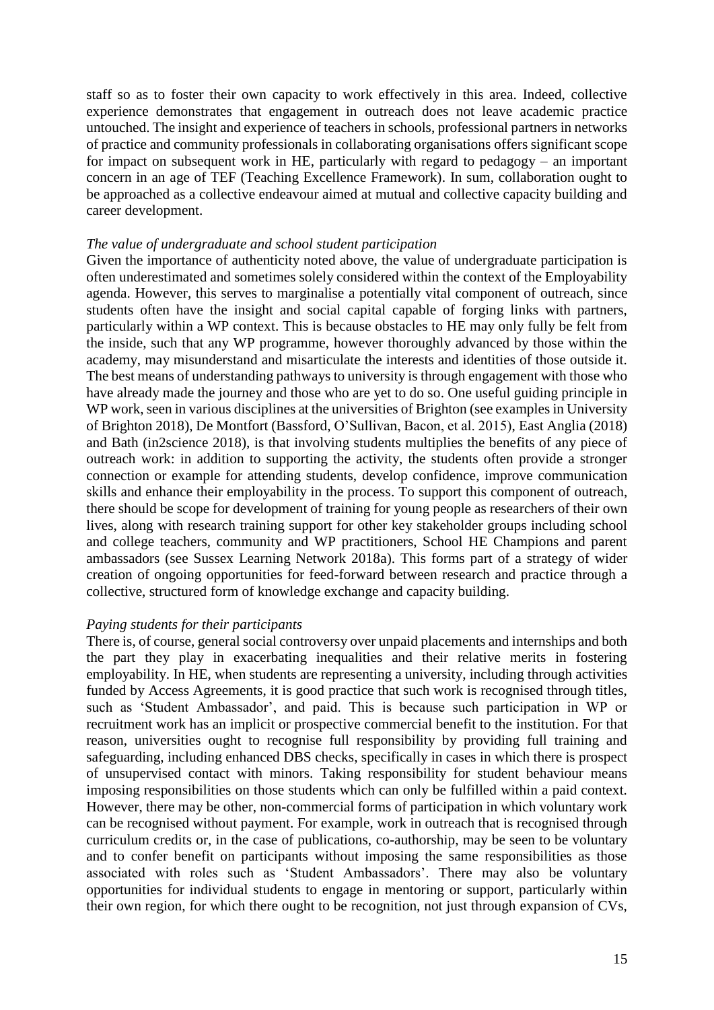staff so as to foster their own capacity to work effectively in this area. Indeed, collective experience demonstrates that engagement in outreach does not leave academic practice untouched. The insight and experience of teachers in schools, professional partners in networks of practice and community professionals in collaborating organisations offers significant scope for impact on subsequent work in HE, particularly with regard to pedagogy – an important concern in an age of TEF (Teaching Excellence Framework). In sum, collaboration ought to be approached as a collective endeavour aimed at mutual and collective capacity building and career development.

# *The value of undergraduate and school student participation*

Given the importance of authenticity noted above, the value of undergraduate participation is often underestimated and sometimes solely considered within the context of the Employability agenda. However, this serves to marginalise a potentially vital component of outreach, since students often have the insight and social capital capable of forging links with partners, particularly within a WP context. This is because obstacles to HE may only fully be felt from the inside, such that any WP programme, however thoroughly advanced by those within the academy, may misunderstand and misarticulate the interests and identities of those outside it. The best means of understanding pathways to university is through engagement with those who have already made the journey and those who are yet to do so. One useful guiding principle in WP work, seen in various disciplines at the universities of Brighton (see examples in University of Brighton 2018), De Montfort (Bassford, O'Sullivan, Bacon, et al. 2015), East Anglia (2018) and Bath (in2science 2018), is that involving students multiplies the benefits of any piece of outreach work: in addition to supporting the activity, the students often provide a stronger connection or example for attending students, develop confidence, improve communication skills and enhance their employability in the process. To support this component of outreach, there should be scope for development of training for young people as researchers of their own lives, along with research training support for other key stakeholder groups including school and college teachers, community and WP practitioners, School HE Champions and parent ambassadors (see Sussex Learning Network 2018a). This forms part of a strategy of wider creation of ongoing opportunities for feed-forward between research and practice through a collective, structured form of knowledge exchange and capacity building.

# *Paying students for their participants*

There is, of course, general social controversy over unpaid placements and internships and both the part they play in exacerbating inequalities and their relative merits in fostering employability. In HE, when students are representing a university, including through activities funded by Access Agreements, it is good practice that such work is recognised through titles, such as 'Student Ambassador', and paid. This is because such participation in WP or recruitment work has an implicit or prospective commercial benefit to the institution. For that reason, universities ought to recognise full responsibility by providing full training and safeguarding, including enhanced DBS checks, specifically in cases in which there is prospect of unsupervised contact with minors. Taking responsibility for student behaviour means imposing responsibilities on those students which can only be fulfilled within a paid context. However, there may be other, non-commercial forms of participation in which voluntary work can be recognised without payment. For example, work in outreach that is recognised through curriculum credits or, in the case of publications, co-authorship, may be seen to be voluntary and to confer benefit on participants without imposing the same responsibilities as those associated with roles such as 'Student Ambassadors'. There may also be voluntary opportunities for individual students to engage in mentoring or support, particularly within their own region, for which there ought to be recognition, not just through expansion of CVs,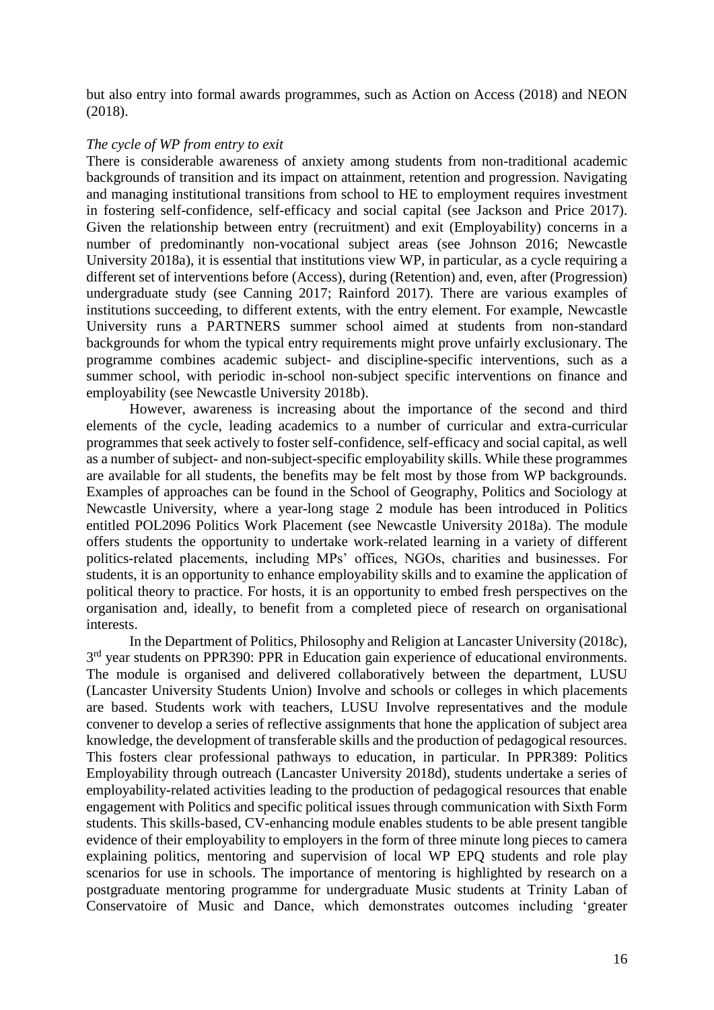but also entry into formal awards programmes, such as Action on Access (2018) and NEON (2018).

# *The cycle of WP from entry to exit*

There is considerable awareness of anxiety among students from non-traditional academic backgrounds of transition and its impact on attainment, retention and progression. Navigating and managing institutional transitions from school to HE to employment requires investment in fostering self-confidence, self-efficacy and social capital (see Jackson and Price 2017). Given the relationship between entry (recruitment) and exit (Employability) concerns in a number of predominantly non-vocational subject areas (see Johnson 2016; Newcastle University 2018a), it is essential that institutions view WP, in particular, as a cycle requiring a different set of interventions before (Access), during (Retention) and, even, after (Progression) undergraduate study (see Canning 2017; Rainford 2017). There are various examples of institutions succeeding, to different extents, with the entry element. For example, Newcastle University runs a PARTNERS summer school aimed at students from non-standard backgrounds for whom the typical entry requirements might prove unfairly exclusionary. The programme combines academic subject- and discipline-specific interventions, such as a summer school, with periodic in-school non-subject specific interventions on finance and employability (see Newcastle University 2018b).

However, awareness is increasing about the importance of the second and third elements of the cycle, leading academics to a number of curricular and extra-curricular programmes that seek actively to foster self-confidence, self-efficacy and social capital, as well as a number of subject- and non-subject-specific employability skills. While these programmes are available for all students, the benefits may be felt most by those from WP backgrounds. Examples of approaches can be found in the School of Geography, Politics and Sociology at Newcastle University, where a year-long stage 2 module has been introduced in Politics entitled POL2096 Politics Work Placement (see Newcastle University 2018a). The module offers students the opportunity to undertake work-related learning in a variety of different politics-related placements, including MPs' offices, NGOs, charities and businesses. For students, it is an opportunity to enhance employability skills and to examine the application of political theory to practice. For hosts, it is an opportunity to embed fresh perspectives on the organisation and, ideally, to benefit from a completed piece of research on organisational interests.

In the Department of Politics, Philosophy and Religion at Lancaster University (2018c), 3<sup>rd</sup> year students on PPR390: PPR in Education gain experience of educational environments. The module is organised and delivered collaboratively between the department, LUSU (Lancaster University Students Union) Involve and schools or colleges in which placements are based. Students work with teachers, LUSU Involve representatives and the module convener to develop a series of reflective assignments that hone the application of subject area knowledge, the development of transferable skills and the production of pedagogical resources. This fosters clear professional pathways to education, in particular. In PPR389: Politics Employability through outreach (Lancaster University 2018d), students undertake a series of employability-related activities leading to the production of pedagogical resources that enable engagement with Politics and specific political issues through communication with Sixth Form students. This skills-based, CV-enhancing module enables students to be able present tangible evidence of their employability to employers in the form of three minute long pieces to camera explaining politics, mentoring and supervision of local WP EPQ students and role play scenarios for use in schools. The importance of mentoring is highlighted by research on a postgraduate mentoring programme for undergraduate Music students at Trinity Laban of Conservatoire of Music and Dance, which demonstrates outcomes including 'greater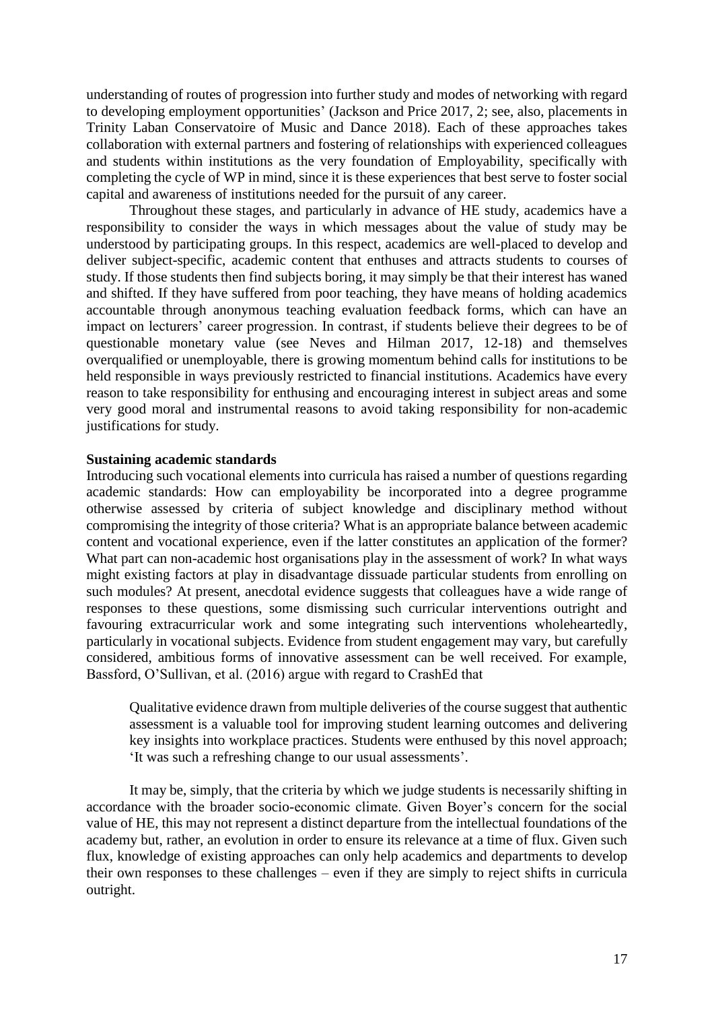understanding of routes of progression into further study and modes of networking with regard to developing employment opportunities' (Jackson and Price 2017, 2; see, also, placements in Trinity Laban Conservatoire of Music and Dance 2018). Each of these approaches takes collaboration with external partners and fostering of relationships with experienced colleagues and students within institutions as the very foundation of Employability, specifically with completing the cycle of WP in mind, since it is these experiences that best serve to foster social capital and awareness of institutions needed for the pursuit of any career.

Throughout these stages, and particularly in advance of HE study, academics have a responsibility to consider the ways in which messages about the value of study may be understood by participating groups. In this respect, academics are well-placed to develop and deliver subject-specific, academic content that enthuses and attracts students to courses of study. If those students then find subjects boring, it may simply be that their interest has waned and shifted. If they have suffered from poor teaching, they have means of holding academics accountable through anonymous teaching evaluation feedback forms, which can have an impact on lecturers' career progression. In contrast, if students believe their degrees to be of questionable monetary value (see Neves and Hilman 2017, 12-18) and themselves overqualified or unemployable, there is growing momentum behind calls for institutions to be held responsible in ways previously restricted to financial institutions. Academics have every reason to take responsibility for enthusing and encouraging interest in subject areas and some very good moral and instrumental reasons to avoid taking responsibility for non-academic justifications for study.

# **Sustaining academic standards**

Introducing such vocational elements into curricula has raised a number of questions regarding academic standards: How can employability be incorporated into a degree programme otherwise assessed by criteria of subject knowledge and disciplinary method without compromising the integrity of those criteria? What is an appropriate balance between academic content and vocational experience, even if the latter constitutes an application of the former? What part can non-academic host organisations play in the assessment of work? In what ways might existing factors at play in disadvantage dissuade particular students from enrolling on such modules? At present, anecdotal evidence suggests that colleagues have a wide range of responses to these questions, some dismissing such curricular interventions outright and favouring extracurricular work and some integrating such interventions wholeheartedly, particularly in vocational subjects. Evidence from student engagement may vary, but carefully considered, ambitious forms of innovative assessment can be well received. For example, Bassford, O'Sullivan, et al. (2016) argue with regard to CrashEd that

Qualitative evidence drawn from multiple deliveries of the course suggest that authentic assessment is a valuable tool for improving student learning outcomes and delivering key insights into workplace practices. Students were enthused by this novel approach; 'It was such a refreshing change to our usual assessments'.

It may be, simply, that the criteria by which we judge students is necessarily shifting in accordance with the broader socio-economic climate. Given Boyer's concern for the social value of HE, this may not represent a distinct departure from the intellectual foundations of the academy but, rather, an evolution in order to ensure its relevance at a time of flux. Given such flux, knowledge of existing approaches can only help academics and departments to develop their own responses to these challenges – even if they are simply to reject shifts in curricula outright.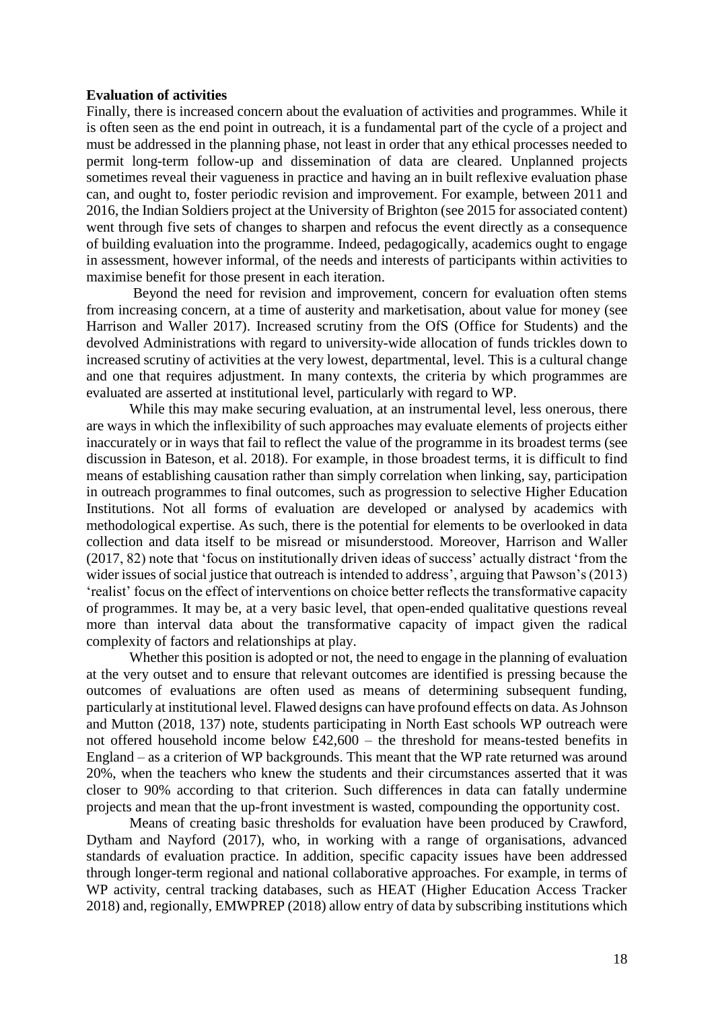#### **Evaluation of activities**

Finally, there is increased concern about the evaluation of activities and programmes. While it is often seen as the end point in outreach, it is a fundamental part of the cycle of a project and must be addressed in the planning phase, not least in order that any ethical processes needed to permit long-term follow-up and dissemination of data are cleared. Unplanned projects sometimes reveal their vagueness in practice and having an in built reflexive evaluation phase can, and ought to, foster periodic revision and improvement. For example, between 2011 and 2016, the Indian Soldiers project at the University of Brighton (see 2015 for associated content) went through five sets of changes to sharpen and refocus the event directly as a consequence of building evaluation into the programme. Indeed, pedagogically, academics ought to engage in assessment, however informal, of the needs and interests of participants within activities to maximise benefit for those present in each iteration.

Beyond the need for revision and improvement, concern for evaluation often stems from increasing concern, at a time of austerity and marketisation, about value for money (see Harrison and Waller 2017). Increased scrutiny from the OfS (Office for Students) and the devolved Administrations with regard to university-wide allocation of funds trickles down to increased scrutiny of activities at the very lowest, departmental, level. This is a cultural change and one that requires adjustment. In many contexts, the criteria by which programmes are evaluated are asserted at institutional level, particularly with regard to WP.

While this may make securing evaluation, at an instrumental level, less onerous, there are ways in which the inflexibility of such approaches may evaluate elements of projects either inaccurately or in ways that fail to reflect the value of the programme in its broadest terms (see discussion in Bateson, et al. 2018). For example, in those broadest terms, it is difficult to find means of establishing causation rather than simply correlation when linking, say, participation in outreach programmes to final outcomes, such as progression to selective Higher Education Institutions. Not all forms of evaluation are developed or analysed by academics with methodological expertise. As such, there is the potential for elements to be overlooked in data collection and data itself to be misread or misunderstood. Moreover, Harrison and Waller (2017, 82) note that 'focus on institutionally driven ideas of success' actually distract 'from the wider issues of social justice that outreach is intended to address', arguing that Pawson's (2013) 'realist' focus on the effect of interventions on choice better reflects the transformative capacity of programmes. It may be, at a very basic level, that open-ended qualitative questions reveal more than interval data about the transformative capacity of impact given the radical complexity of factors and relationships at play.

Whether this position is adopted or not, the need to engage in the planning of evaluation at the very outset and to ensure that relevant outcomes are identified is pressing because the outcomes of evaluations are often used as means of determining subsequent funding, particularly at institutional level. Flawed designs can have profound effects on data. As Johnson and Mutton (2018, 137) note, students participating in North East schools WP outreach were not offered household income below £42,600 – the threshold for means-tested benefits in England – as a criterion of WP backgrounds. This meant that the WP rate returned was around 20%, when the teachers who knew the students and their circumstances asserted that it was closer to 90% according to that criterion. Such differences in data can fatally undermine projects and mean that the up-front investment is wasted, compounding the opportunity cost.

Means of creating basic thresholds for evaluation have been produced by Crawford, Dytham and Nayford (2017), who, in working with a range of organisations, advanced standards of evaluation practice. In addition, specific capacity issues have been addressed through longer-term regional and national collaborative approaches. For example, in terms of WP activity, central tracking databases, such as HEAT (Higher Education Access Tracker 2018) and, regionally, EMWPREP (2018) allow entry of data by subscribing institutions which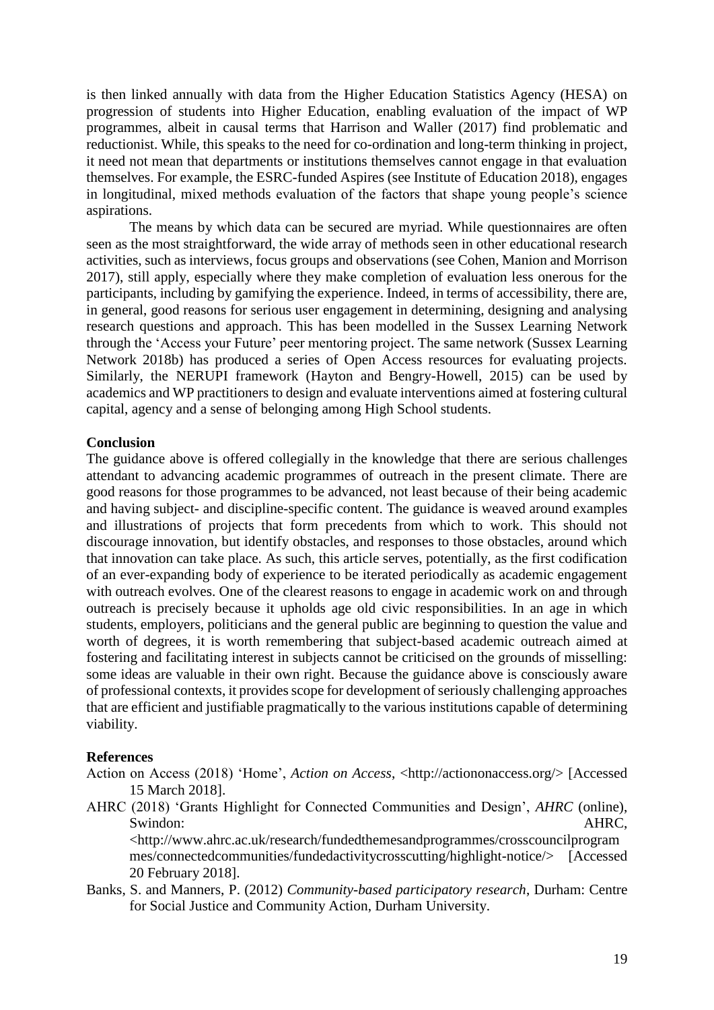is then linked annually with data from the Higher Education Statistics Agency (HESA) on progression of students into Higher Education, enabling evaluation of the impact of WP programmes, albeit in causal terms that Harrison and Waller (2017) find problematic and reductionist. While, this speaks to the need for co-ordination and long-term thinking in project, it need not mean that departments or institutions themselves cannot engage in that evaluation themselves. For example, the ESRC-funded Aspires (see Institute of Education 2018), engages in longitudinal, mixed methods evaluation of the factors that shape young people's science aspirations.

The means by which data can be secured are myriad. While questionnaires are often seen as the most straightforward, the wide array of methods seen in other educational research activities, such as interviews, focus groups and observations (see Cohen, Manion and Morrison 2017), still apply, especially where they make completion of evaluation less onerous for the participants, including by gamifying the experience. Indeed, in terms of accessibility, there are, in general, good reasons for serious user engagement in determining, designing and analysing research questions and approach. This has been modelled in the Sussex Learning Network through the 'Access your Future' peer mentoring project. The same network (Sussex Learning Network 2018b) has produced a series of Open Access resources for evaluating projects. Similarly, the NERUPI framework (Hayton and Bengry-Howell, 2015) can be used by academics and WP practitioners to design and evaluate interventions aimed at fostering cultural capital, agency and a sense of belonging among High School students.

# **Conclusion**

The guidance above is offered collegially in the knowledge that there are serious challenges attendant to advancing academic programmes of outreach in the present climate. There are good reasons for those programmes to be advanced, not least because of their being academic and having subject- and discipline-specific content. The guidance is weaved around examples and illustrations of projects that form precedents from which to work. This should not discourage innovation, but identify obstacles, and responses to those obstacles, around which that innovation can take place. As such, this article serves, potentially, as the first codification of an ever-expanding body of experience to be iterated periodically as academic engagement with outreach evolves. One of the clearest reasons to engage in academic work on and through outreach is precisely because it upholds age old civic responsibilities. In an age in which students, employers, politicians and the general public are beginning to question the value and worth of degrees, it is worth remembering that subject-based academic outreach aimed at fostering and facilitating interest in subjects cannot be criticised on the grounds of misselling: some ideas are valuable in their own right. Because the guidance above is consciously aware of professional contexts, it provides scope for development of seriously challenging approaches that are efficient and justifiable pragmatically to the various institutions capable of determining viability.

# **References**

- Action on Access (2018) 'Home', *Action on Access*, <http://actiononaccess.org/> [Accessed 15 March 2018].
- AHRC (2018) 'Grants Highlight for Connected Communities and Design', *AHRC* (online), Swindon: AHRC,

<http://www.ahrc.ac.uk/research/fundedthemesandprogrammes/crosscouncilprogram mes/connectedcommunities/fundedactivitycrosscutting/highlight-notice/> [Accessed 20 February 2018].

Banks, S. and Manners, P. (2012) *Community-based participatory research*, Durham: Centre for Social Justice and Community Action, Durham University.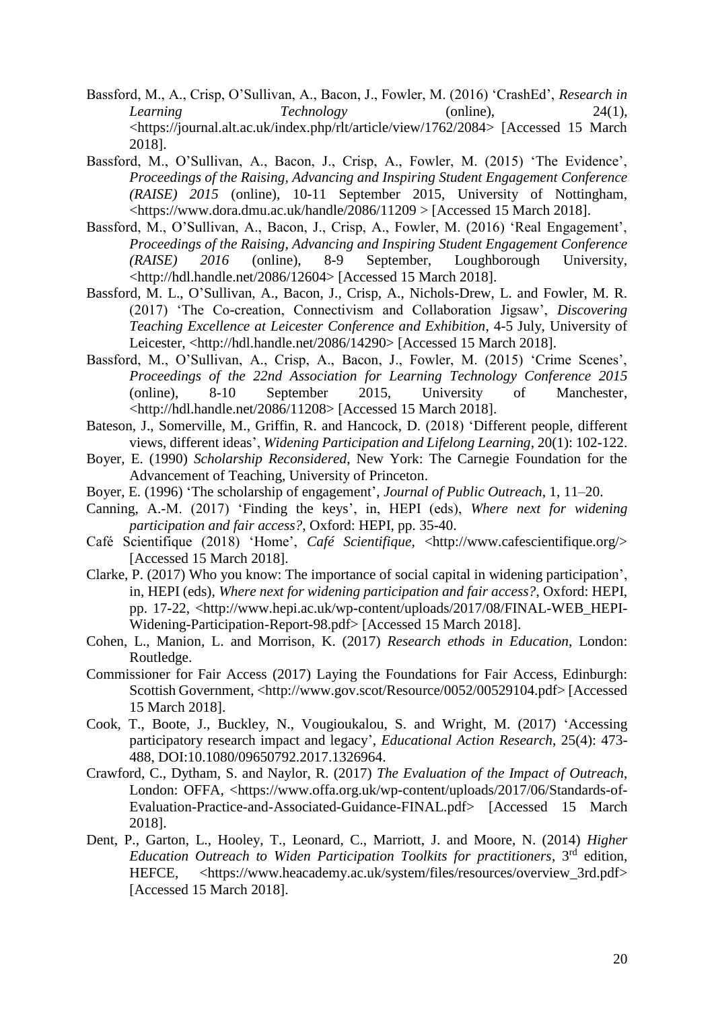- Bassford, M., A., Crisp, O'Sullivan, A., Bacon, J., Fowler, M. (2016) 'CrashEd', *Research in Learning Technology* (online), 24(1), <https://journal.alt.ac.uk/index.php/rlt/article/view/1762/2084> [Accessed 15 March 2018].
- Bassford, M., O'Sullivan, A., Bacon, J., Crisp, A., Fowler, M. (2015) 'The Evidence', *Proceedings of the Raising, Advancing and Inspiring Student Engagement Conference (RAISE) 2015* (online), 10-11 September 2015, University of Nottingham, <https://www.dora.dmu.ac.uk/handle/2086/11209 > [Accessed 15 March 2018].
- Bassford, M., O'Sullivan, A., Bacon, J., Crisp, A., Fowler, M. (2016) 'Real Engagement', *Proceedings of the Raising, Advancing and Inspiring Student Engagement Conference (RAISE) 2016* (online), 8-9 September, Loughborough University, <http://hdl.handle.net/2086/12604> [Accessed 15 March 2018].
- Bassford, M. L., O'Sullivan, A., Bacon, J., Crisp, A., Nichols-Drew, L. and Fowler, M. R. (2017) 'The Co-creation, Connectivism and Collaboration Jigsaw', *Discovering Teaching Excellence at Leicester Conference and Exhibition*, 4-5 July, University of Leicester, <http://hdl.handle.net/2086/14290> [Accessed 15 March 2018].
- Bassford, M., O'Sullivan, A., Crisp, A., Bacon, J., Fowler, M. (2015) 'Crime Scenes', *Proceedings of the 22nd Association for Learning Technology Conference 2015* (online), 8-10 September 2015, University of Manchester, <http://hdl.handle.net/2086/11208> [Accessed 15 March 2018].
- Bateson, J., Somerville, M., Griffin, R. and Hancock, D. (2018) 'Different people, different views, different ideas', *Widening Participation and Lifelong Learning*, 20(1): 102-122.
- Boyer, E. (1990) *Scholarship Reconsidered*, New York: The Carnegie Foundation for the Advancement of Teaching, University of Princeton.
- Boyer, E. (1996) 'The scholarship of engagement', *Journal of Public Outreach*, 1, 11–20.
- Canning, A.-M. (2017) 'Finding the keys', in, HEPI (eds), *Where next for widening participation and fair access?*, Oxford: HEPI, pp. 35-40.
- Café Scientifique (2018) 'Home', *Café Scientifique*, <http://www.cafescientifique.org/> [Accessed 15 March 2018].
- Clarke, P. (2017) Who you know: The importance of social capital in widening participation', in, HEPI (eds), *Where next for widening participation and fair access?*, Oxford: HEPI, pp. 17-22, <http://www.hepi.ac.uk/wp-content/uploads/2017/08/FINAL-WEB\_HEPI-Widening-Participation-Report-98.pdf> [Accessed 15 March 2018].
- Cohen, L., Manion, L. and Morrison, K. (2017) *Research ethods in Education*, London: Routledge.
- Commissioner for Fair Access (2017) Laying the Foundations for Fair Access, Edinburgh: Scottish Government, <http://www.gov.scot/Resource/0052/00529104.pdf> [Accessed 15 March 2018].
- Cook, T., Boote, J., Buckley, N., Vougioukalou, S. and Wright, M. (2017) 'Accessing participatory research impact and legacy', *Educational Action Research*, 25(4): 473- 488, DOI:10.1080/09650792.2017.1326964.
- Crawford, C., Dytham, S. and Naylor, R. (2017) *The Evaluation of the Impact of Outreach*, London: OFFA, <https://www.offa.org.uk/wp-content/uploads/2017/06/Standards-of-Evaluation-Practice-and-Associated-Guidance-FINAL.pdf> [Accessed 15 March 2018].
- Dent, P., Garton, L., Hooley, T., Leonard, C., Marriott, J. and Moore, N. (2014) *Higher Education Outreach to Widen Participation Toolkits for practitioners*, 3rd edition, HEFCE, <https://www.heacademy.ac.uk/system/files/resources/overview\_3rd.pdf> [Accessed 15 March 2018].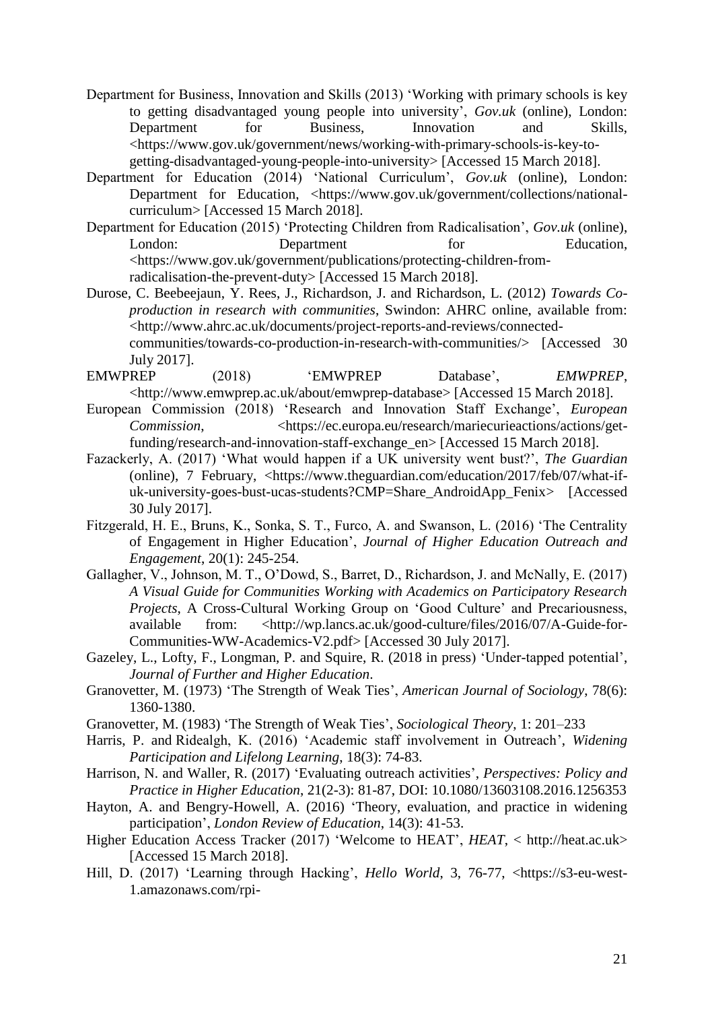- Department for Business, Innovation and Skills (2013) 'Working with primary schools is key to getting disadvantaged young people into university', *Gov.uk* (online), London: Department for Business, Innovation and Skills, <https://www.gov.uk/government/news/working-with-primary-schools-is-key-togetting-disadvantaged-young-people-into-university> [Accessed 15 March 2018].
- Department for Education (2014) 'National Curriculum', *Gov.uk* (online), London: Department for Education, <https://www.gov.uk/government/collections/nationalcurriculum> [Accessed 15 March 2018].
- Department for Education (2015) 'Protecting Children from Radicalisation', *Gov.uk* (online), London: Department for Education, <https://www.gov.uk/government/publications/protecting-children-fromradicalisation-the-prevent-duty> [Accessed 15 March 2018].
- Durose, C. Beebeejaun, Y. Rees, J., Richardson, J. and Richardson, L. (2012) *Towards Coproduction in research with communities*, Swindon: AHRC online, available from: <http://www.ahrc.ac.uk/documents/project-reports-and-reviews/connectedcommunities/towards-co-production-in-research-with-communities/> [Accessed 30 July 2017].
- EMWPREP (2018) 'EMWPREP Database', *EMWPREP*, <http://www.emwprep.ac.uk/about/emwprep-database> [Accessed 15 March 2018].
- European Commission (2018) 'Research and Innovation Staff Exchange', *European Commission*, <https://ec.europa.eu/research/mariecurieactions/actions/getfunding/research-and-innovation-staff-exchange\_en> [Accessed 15 March 2018].
- Fazackerly, A. (2017) 'What would happen if a UK university went bust?', *The Guardian* (online), 7 February, <https://www.theguardian.com/education/2017/feb/07/what-ifuk-university-goes-bust-ucas-students?CMP=Share\_AndroidApp\_Fenix> [Accessed 30 July 2017].
- Fitzgerald, H. E., Bruns, K., Sonka, S. T., Furco, A. and Swanson, L. (2016) 'The Centrality of Engagement in Higher Education', *Journal of Higher Education Outreach and Engagement*, 20(1): 245-254.
- Gallagher, V., Johnson, M. T., O'Dowd, S., Barret, D., Richardson, J. and McNally, E. (2017) *A Visual Guide for Communities Working with Academics on Participatory Research Projects*, A Cross-Cultural Working Group on 'Good Culture' and Precariousness, available from: <http://wp.lancs.ac.uk/good-culture/files/2016/07/A-Guide-for-Communities-WW-Academics-V2.pdf> [Accessed 30 July 2017].
- Gazeley, L., Lofty, F., Longman, P. and Squire, R. (2018 in press) 'Under-tapped potential', *Journal of Further and Higher Education*.
- Granovetter, M. (1973) 'The Strength of Weak Ties', *American Journal of Sociology*, 78(6): 1360-1380.
- Granovetter, M. (1983) 'The Strength of Weak Ties', *Sociological Theory*, 1: 201–233
- Harris, P. and Ridealgh, K. (2016) 'Academic staff involvement in Outreach', *Widening Participation and Lifelong Learning*, 18(3): 74-83.
- Harrison, N. and Waller, R. (2017) 'Evaluating outreach activities', *Perspectives: Policy and Practice in Higher Education*, 21(2-3): 81-87, DOI: 10.1080/13603108.2016.1256353
- Hayton, A. and Bengry-Howell, A. (2016) 'Theory, evaluation, and practice in widening participation', *London Review of Education*, 14(3): 41-53.
- Higher Education Access Tracker (2017) 'Welcome to HEAT', *HEAT*, < http://heat.ac.uk> [Accessed 15 March 2018].
- Hill, D. (2017) 'Learning through Hacking', *Hello World*, 3, 76-77, <https://s3-eu-west-1.amazonaws.com/rpi-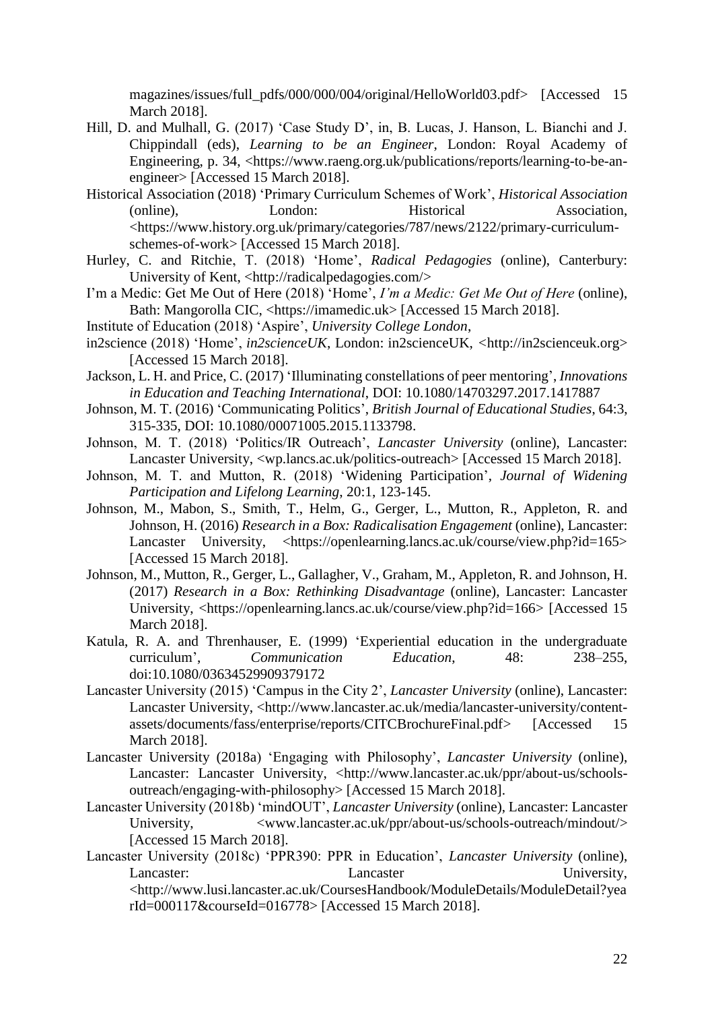magazines/issues/full\_pdfs/000/000/004/original/HelloWorld03.pdf> [Accessed 15 March 2018].

- Hill, D. and Mulhall, G. (2017) 'Case Study D', in, B. Lucas, J. Hanson, L. Bianchi and J. Chippindall (eds), *Learning to be an Engineer*, London: Royal Academy of Engineering, p. 34, <https://www.raeng.org.uk/publications/reports/learning-to-be-anengineer> [Accessed 15 March 2018].
- Historical Association (2018) 'Primary Curriculum Schemes of Work', *Historical Association* (online), London: Historical Association, <https://www.history.org.uk/primary/categories/787/news/2122/primary-curriculumschemes-of-work> [Accessed 15 March 2018].
- Hurley, C. and Ritchie, T. (2018) 'Home', *Radical Pedagogies* (online), Canterbury: University of Kent, <http://radicalpedagogies.com/>
- I'm a Medic: Get Me Out of Here (2018) 'Home', *I'm a Medic: Get Me Out of Here* (online), Bath: Mangorolla CIC, <https://imamedic.uk> [Accessed 15 March 2018].
- Institute of Education (2018) 'Aspire', *University College London*,
- in2science (2018) 'Home', *in2scienceUK*, London: in2scienceUK, *<*http://in2scienceuk.org> [Accessed 15 March 2018].
- Jackson, L. H. and Price, C. (2017) 'Illuminating constellations of peer mentoring', *Innovations in Education and Teaching International*, DOI: 10.1080/14703297.2017.1417887
- Johnson, M. T. (2016) 'Communicating Politics', *British Journal of Educational Studies*, 64:3, 315-335, DOI: 10.1080/00071005.2015.1133798.
- Johnson, M. T. (2018) 'Politics/IR Outreach', *Lancaster University* (online), Lancaster: Lancaster University, <wp.lancs.ac.uk/politics-outreach> [Accessed 15 March 2018].
- Johnson, M. T. and Mutton, R. (2018) 'Widening Participation', *Journal of Widening Participation and Lifelong Learning*, 20:1, 123-145.
- Johnson, M., Mabon, S., Smith, T., Helm, G., Gerger, L., Mutton, R., Appleton, R. and Johnson, H. (2016) *Research in a Box: Radicalisation Engagement* (online), Lancaster: Lancaster University, <https://openlearning.lancs.ac.uk/course/view.php?id=165> [Accessed 15 March 2018].
- Johnson, M., Mutton, R., Gerger, L., Gallagher, V., Graham, M., Appleton, R. and Johnson, H. (2017) *Research in a Box: Rethinking Disadvantage* (online), Lancaster: Lancaster University, <https://openlearning.lancs.ac.uk/course/view.php?id=166> [Accessed 15 March 2018].
- Katula, R. A. and Threnhauser, E. (1999) 'Experiential education in the undergraduate curriculum', *Communication Education*, 48: 238–255, doi:10.1080/03634529909379172
- Lancaster University (2015) 'Campus in the City 2', *Lancaster University* (online), Lancaster: Lancaster University, <http://www.lancaster.ac.uk/media/lancaster-university/contentassets/documents/fass/enterprise/reports/CITCBrochureFinal.pdf> [Accessed 15 March 2018].
- Lancaster University (2018a) 'Engaging with Philosophy', *Lancaster University* (online), Lancaster: Lancaster University, <http://www.lancaster.ac.uk/ppr/about-us/schoolsoutreach/engaging-with-philosophy> [Accessed 15 March 2018].
- Lancaster University (2018b) 'mindOUT', *Lancaster University* (online), Lancaster: Lancaster University,  $\langle www.lancaster.ac.uk/ppr/about-us/schools-outreach/mindout/>$ [Accessed 15 March 2018].
- Lancaster University (2018c) 'PPR390: PPR in Education', *Lancaster University* (online), Lancaster: Lancaster Lancaster University, <http://www.lusi.lancaster.ac.uk/CoursesHandbook/ModuleDetails/ModuleDetail?yea rId=000117&courseId=016778> [Accessed 15 March 2018].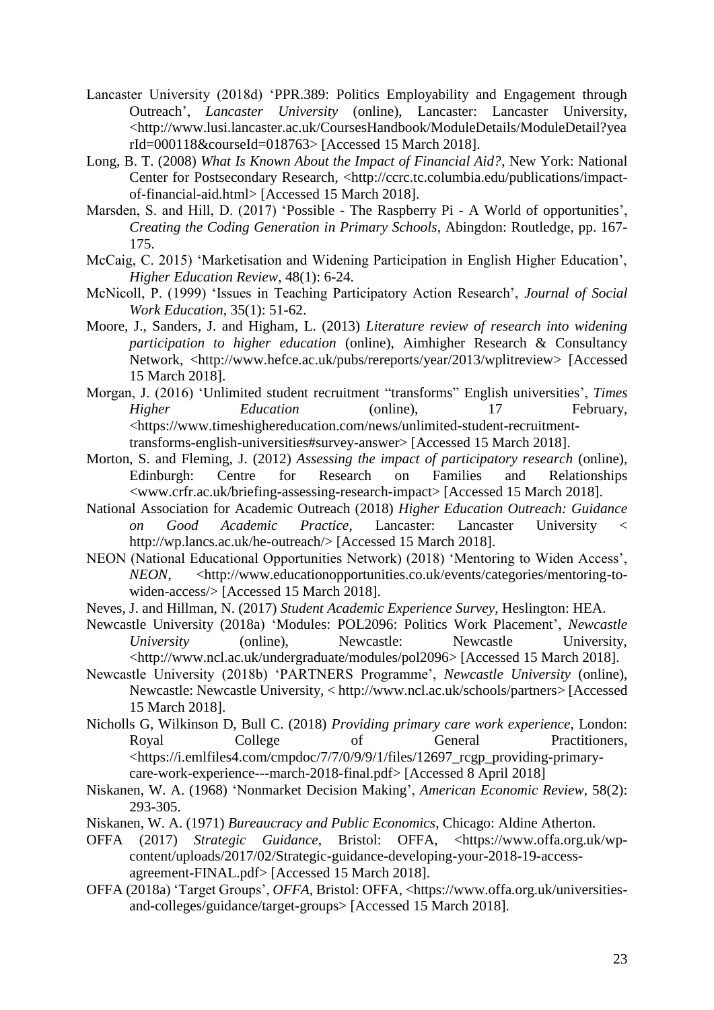- Lancaster University (2018d) 'PPR.389: Politics Employability and Engagement through Outreach', *Lancaster University* (online), Lancaster: Lancaster University, <http://www.lusi.lancaster.ac.uk/CoursesHandbook/ModuleDetails/ModuleDetail?yea rId=000118&courseId=018763> [Accessed 15 March 2018].
- Long, B. T. (2008) *What Is Known About the Impact of Financial Aid?*, New York: National Center for Postsecondary Research, <http://ccrc.tc.columbia.edu/publications/impactof-financial-aid.html> [Accessed 15 March 2018].
- Marsden, S. and Hill, D. (2017) 'Possible The Raspberry Pi A World of opportunities', *Creating the Coding Generation in Primary Schools*, Abingdon: Routledge, pp. 167- 175.
- McCaig, C. 2015) 'Marketisation and Widening Participation in English Higher Education', *Higher Education Review*, 48(1): 6-24.
- McNicoll, P. (1999) 'Issues in Teaching Participatory Action Research', *Journal of Social Work Education*, 35(1): 51-62.
- Moore, J., Sanders, J. and Higham, L. (2013) *Literature review of research into widening participation to higher education* (online), Aimhigher Research & Consultancy Network, <http://www.hefce.ac.uk/pubs/rereports/year/2013/wplitreview> [Accessed 15 March 2018].
- Morgan, J. (2016) 'Unlimited student recruitment "transforms" English universities', *Times Higher Education* (online), 17 February, <https://www.timeshighereducation.com/news/unlimited-student-recruitmenttransforms-english-universities#survey-answer> [Accessed 15 March 2018].
- Morton, S. and Fleming, J. (2012) *Assessing the impact of participatory research* (online), Edinburgh: Centre for Research on Families and Relationships <www.crfr.ac.uk/briefing-assessing-research-impact> [Accessed 15 March 2018].
- National Association for Academic Outreach (2018) *Higher Education Outreach: Guidance on Good Academic Practice*, Lancaster: Lancaster University < http://wp.lancs.ac.uk/he-outreach/> [Accessed 15 March 2018].
- NEON (National Educational Opportunities Network) (2018) 'Mentoring to Widen Access', *NEON*, <http://www.educationopportunities.co.uk/events/categories/mentoring-towiden-access/> [Accessed 15 March 2018].
- Neves, J. and Hillman, N. (2017) *Student Academic Experience Survey*, Heslington: HEA.
- Newcastle University (2018a) 'Modules: POL2096: Politics Work Placement', *Newcastle University* (online), Newcastle: Newcastle University, <http://www.ncl.ac.uk/undergraduate/modules/pol2096> [Accessed 15 March 2018].
- Newcastle University (2018b) 'PARTNERS Programme', *Newcastle University* (online), Newcastle: Newcastle University, < http://www.ncl.ac.uk/schools/partners> [Accessed 15 March 2018].
- Nicholls G, Wilkinson D, Bull C. (2018) *Providing primary care work experience*, London: Royal College of General Practitioners, <https://i.emlfiles4.com/cmpdoc/7/7/0/9/9/1/files/12697\_rcgp\_providing-primarycare-work-experience---march-2018-final.pdf> [Accessed 8 April 2018]
- Niskanen, W. A. (1968) 'Nonmarket Decision Making', *American Economic Review*, 58(2): 293-305.
- Niskanen, W. A. (1971) *Bureaucracy and Public Economics*, Chicago: Aldine Atherton.
- OFFA (2017) *Strategic Guidance*, Bristol: OFFA, <https://www.offa.org.uk/wpcontent/uploads/2017/02/Strategic-guidance-developing-your-2018-19-accessagreement-FINAL.pdf> [Accessed 15 March 2018].
- OFFA (2018a) 'Target Groups', *OFFA*, Bristol: OFFA, <https://www.offa.org.uk/universitiesand-colleges/guidance/target-groups> [Accessed 15 March 2018].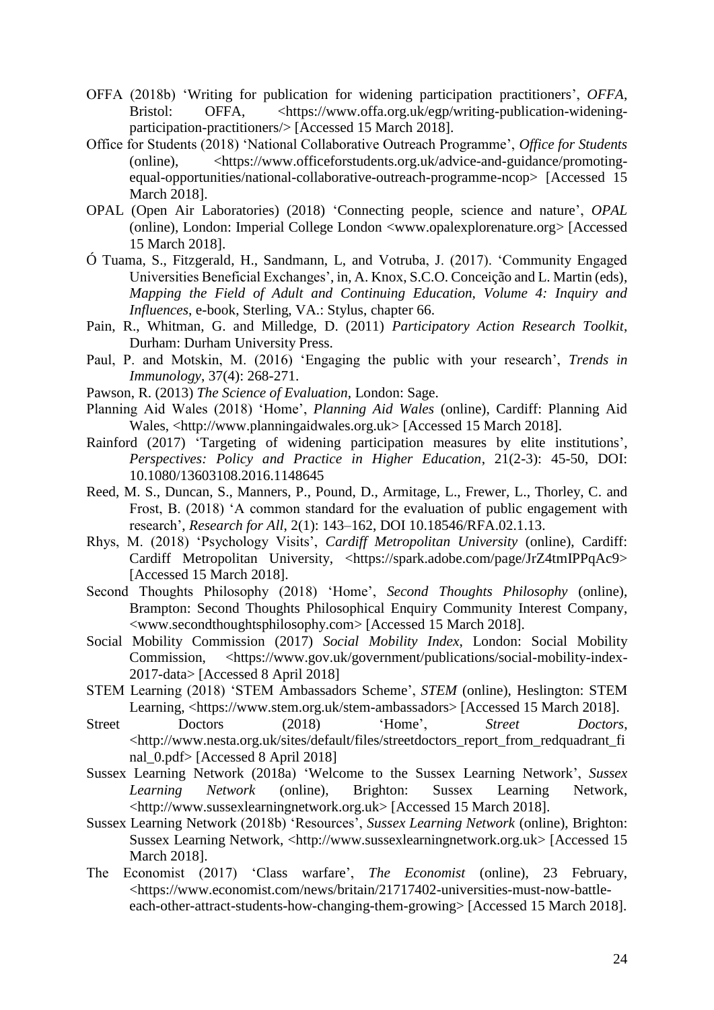- OFFA (2018b) 'Writing for publication for widening participation practitioners', *OFFA*, Bristol: OFFA, <https://www.offa.org.uk/egp/writing-publication-wideningparticipation-practitioners/> [Accessed 15 March 2018].
- Office for Students (2018) 'National Collaborative Outreach Programme', *Office for Students*  (online), <https://www.officeforstudents.org.uk/advice-and-guidance/promotingequal-opportunities/national-collaborative-outreach-programme-ncop> [Accessed 15 March 2018].
- OPAL (Open Air Laboratories) (2018) 'Connecting people, science and nature', *OPAL* (online), London: Imperial College London <www.opalexplorenature.org> [Accessed 15 March 2018].
- Ó Tuama, S., Fitzgerald, H., Sandmann, L, and Votruba, J. (2017). 'Community Engaged Universities Beneficial Exchanges', in, A. Knox, S.C.O. Conceição and L. Martin (eds), *Mapping the Field of Adult and Continuing Education, Volume 4: Inquiry and Influences*, e-book, Sterling, VA.: Stylus, chapter 66.
- Pain, R., Whitman, G. and Milledge, D. (2011) *Participatory Action Research Toolkit*, Durham: Durham University Press.
- Paul, P. and Motskin, M. (2016) 'Engaging the public with your research', *Trends in Immunology*, 37(4): 268-271.
- Pawson, R. (2013) *The Science of Evaluation*, London: Sage.
- Planning Aid Wales (2018) 'Home', *Planning Aid Wales* (online), Cardiff: Planning Aid Wales, <http://www.planningaidwales.org.uk> [Accessed 15 March 2018].
- Rainford (2017) 'Targeting of widening participation measures by elite institutions', *Perspectives: Policy and Practice in Higher Education*, 21(2-3): 45-50, DOI: 10.1080/13603108.2016.1148645
- Reed, M. S., Duncan, S., Manners, P., Pound, D., Armitage, L., Frewer, L., Thorley, C. and Frost, B. (2018) 'A common standard for the evaluation of public engagement with research', *Research for All*, 2(1): 143–162, DOI 10.18546/RFA.02.1.13.
- Rhys, M. (2018) 'Psychology Visits', *Cardiff Metropolitan University* (online), Cardiff: Cardiff Metropolitan University, <https://spark.adobe.com/page/JrZ4tmIPPqAc9> [Accessed 15 March 2018].
- Second Thoughts Philosophy (2018) 'Home', *Second Thoughts Philosophy* (online), Brampton: Second Thoughts Philosophical Enquiry Community Interest Company, <www.secondthoughtsphilosophy.com> [Accessed 15 March 2018].
- Social Mobility Commission (2017) *Social Mobility Index*, London: Social Mobility Commission, <https://www.gov.uk/government/publications/social-mobility-index-2017-data> [Accessed 8 April 2018]
- STEM Learning (2018) 'STEM Ambassadors Scheme', *STEM* (online), Heslington: STEM Learning, <https://www.stem.org.uk/stem-ambassadors> [Accessed 15 March 2018].
- Street Doctors (2018) 'Home', Street Doctors, <http://www.nesta.org.uk/sites/default/files/streetdoctors\_report\_from\_redquadrant\_fi nal\_0.pdf> [Accessed 8 April 2018]
- Sussex Learning Network (2018a) 'Welcome to the Sussex Learning Network', *Sussex Learning Network* (online), Brighton: Sussex Learning Network, <http://www.sussexlearningnetwork.org.uk> [Accessed 15 March 2018].
- Sussex Learning Network (2018b) 'Resources', *Sussex Learning Network* (online), Brighton: Sussex Learning Network, <http://www.sussexlearningnetwork.org.uk> [Accessed 15 March 2018].
- The Economist (2017) 'Class warfare', *The Economist* (online), 23 February, <https://www.economist.com/news/britain/21717402-universities-must-now-battleeach-other-attract-students-how-changing-them-growing> [Accessed 15 March 2018].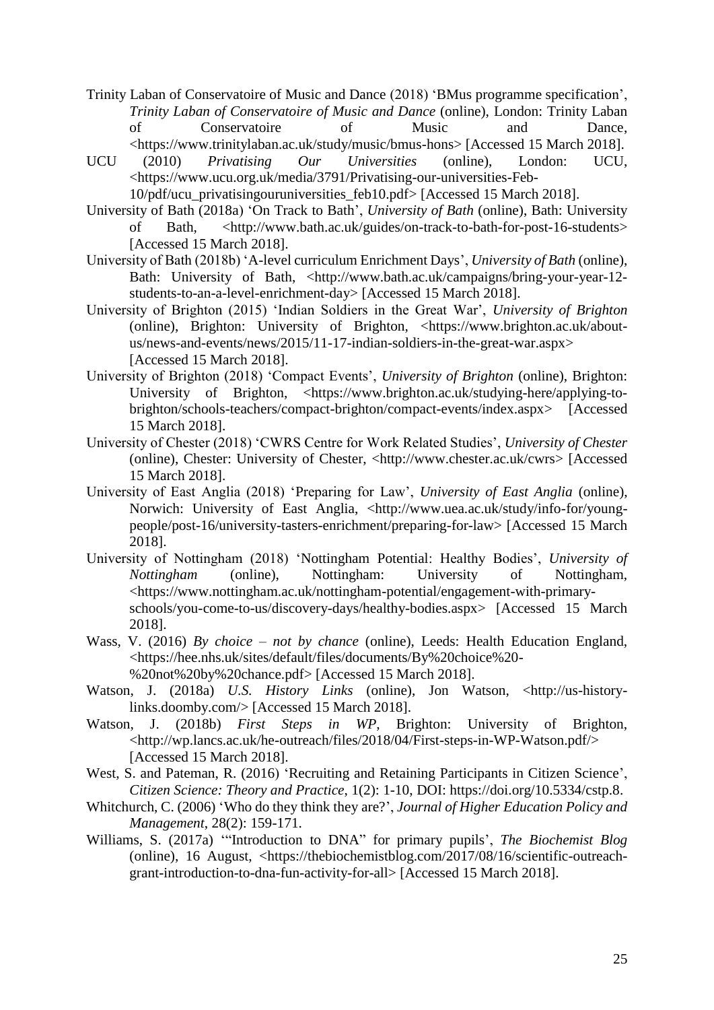- Trinity Laban of Conservatoire of Music and Dance (2018) 'BMus programme specification', *Trinity Laban of Conservatoire of Music and Dance* (online), London: Trinity Laban of Conservatoire of Music and Dance, <https://www.trinitylaban.ac.uk/study/music/bmus-hons> [Accessed 15 March 2018].
- UCU (2010) *Privatising Our Universities* (online), London: UCU, <https://www.ucu.org.uk/media/3791/Privatising-our-universities-Feb-

10/pdf/ucu\_privatisingouruniversities\_feb10.pdf> [Accessed 15 March 2018].

- University of Bath (2018a) 'On Track to Bath', *University of Bath* (online), Bath: University of Bath, <http://www.bath.ac.uk/guides/on-track-to-bath-for-post-16-students> [Accessed 15 March 2018].
- University of Bath (2018b) 'A-level curriculum Enrichment Days', *University of Bath* (online), Bath: University of Bath, <http://www.bath.ac.uk/campaigns/bring-your-year-12students-to-an-a-level-enrichment-day> [Accessed 15 March 2018].
- University of Brighton (2015) 'Indian Soldiers in the Great War', *University of Brighton*  (online), Brighton: University of Brighton, <https://www.brighton.ac.uk/aboutus/news-and-events/news/2015/11-17-indian-soldiers-in-the-great-war.aspx> [Accessed 15 March 2018].
- University of Brighton (2018) 'Compact Events', *University of Brighton* (online), Brighton: University of Brighton, <https://www.brighton.ac.uk/studying-here/applying-tobrighton/schools-teachers/compact-brighton/compact-events/index.aspx> [Accessed 15 March 2018].
- University of Chester (2018) 'CWRS Centre for Work Related Studies', *University of Chester* (online), Chester: University of Chester, <http://www.chester.ac.uk/cwrs> [Accessed 15 March 2018].
- University of East Anglia (2018) 'Preparing for Law', *University of East Anglia* (online), Norwich: University of East Anglia, <http://www.uea.ac.uk/study/info-for/youngpeople/post-16/university-tasters-enrichment/preparing-for-law> [Accessed 15 March 2018].
- University of Nottingham (2018) 'Nottingham Potential: Healthy Bodies', *University of Nottingham* (online), Nottingham: University of Nottingham, <https://www.nottingham.ac.uk/nottingham-potential/engagement-with-primaryschools/you-come-to-us/discovery-days/healthy-bodies.aspx> [Accessed 15 March 2018].
- Wass, V. (2016) *By choice – not by chance* (online), Leeds: Health Education England, <https://hee.nhs.uk/sites/default/files/documents/By%20choice%20- %20not%20by%20chance.pdf> [Accessed 15 March 2018].
- Watson, J. (2018a) *U.S. History Links* (online), Jon Watson, <http://us-historylinks.doomby.com/> [Accessed 15 March 2018].
- Watson, J. (2018b) *First Steps in WP*, Brighton: University of Brighton, <http://wp.lancs.ac.uk/he-outreach/files/2018/04/First-steps-in-WP-Watson.pdf/> [Accessed 15 March 2018].
- West, S. and Pateman, R. (2016) 'Recruiting and Retaining Participants in Citizen Science', *Citizen Science: Theory and Practice*, 1(2): 1-10, DOI: https://doi.org/10.5334/cstp.8.
- Whitchurch, C. (2006) 'Who do they think they are?', *Journal of Higher Education Policy and Management*, 28(2): 159-171.
- Williams, S. (2017a) '"Introduction to DNA" for primary pupils', *The Biochemist Blog* (online), 16 August, <https://thebiochemistblog.com/2017/08/16/scientific-outreachgrant-introduction-to-dna-fun-activity-for-all> [Accessed 15 March 2018].